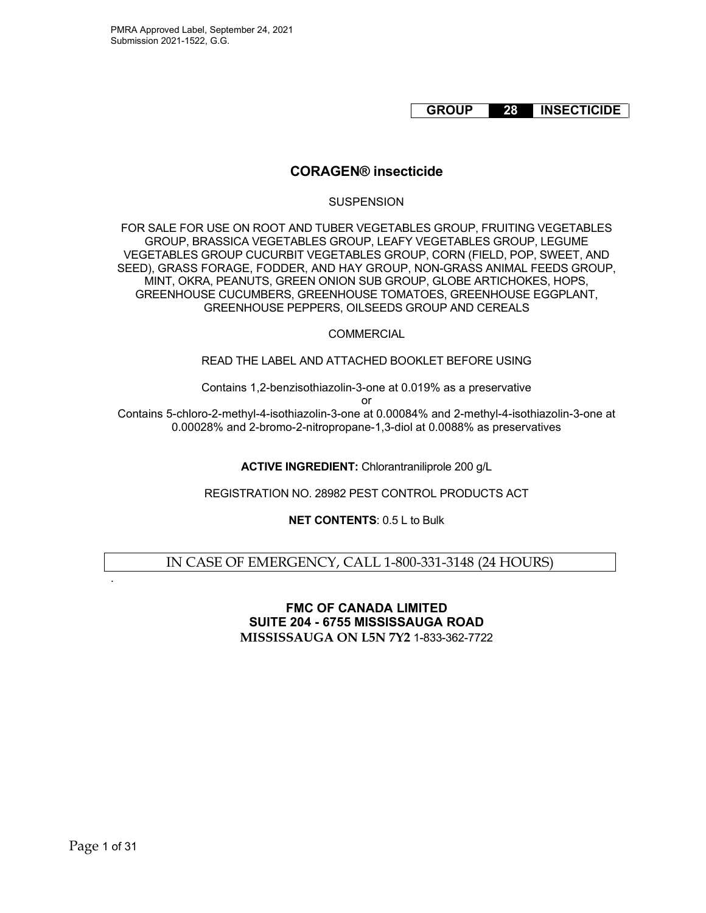# **GROUP 28 INSECTICIDE**

# **CORAGEN® insecticide**

#### **SUSPENSION**

FOR SALE FOR USE ON ROOT AND TUBER VEGETABLES GROUP, FRUITING VEGETABLES GROUP, BRASSICA VEGETABLES GROUP, LEAFY VEGETABLES GROUP, LEGUME VEGETABLES GROUP CUCURBIT VEGETABLES GROUP, CORN (FIELD, POP, SWEET, AND SEED), GRASS FORAGE, FODDER, AND HAY GROUP, NON-GRASS ANIMAL FEEDS GROUP, MINT, OKRA, PEANUTS, GREEN ONION SUB GROUP, GLOBE ARTICHOKES, HOPS, GREENHOUSE CUCUMBERS, GREENHOUSE TOMATOES, GREENHOUSE EGGPLANT, GREENHOUSE PEPPERS, OILSEEDS GROUP AND CEREALS

## **COMMERCIAL**

## READ THE LABEL AND ATTACHED BOOKLET BEFORE USING

Contains 1,2-benzisothiazolin-3-one at 0.019% as a preservative

or

Contains 5-chloro-2-methyl-4-isothiazolin-3-one at 0.00084% and 2-methyl-4-isothiazolin-3-one at 0.00028% and 2-bromo-2-nitropropane-1,3-diol at 0.0088% as preservatives

**ACTIVE INGREDIENT:** Chlorantraniliprole 200 g/L

REGISTRATION NO. 28982 PEST CONTROL PRODUCTS ACT

**NET CONTENTS**: 0.5 L to Bulk

## IN CASE OF EMERGENCY, CALL 1-800-331-3148 (24 HOURS)

## **FMC OF CANADA LIMITED SUITE 204 - 6755 MISSISSAUGA ROAD MISSISSAUGA ON L5N 7Y2** 1-833-362-7722

.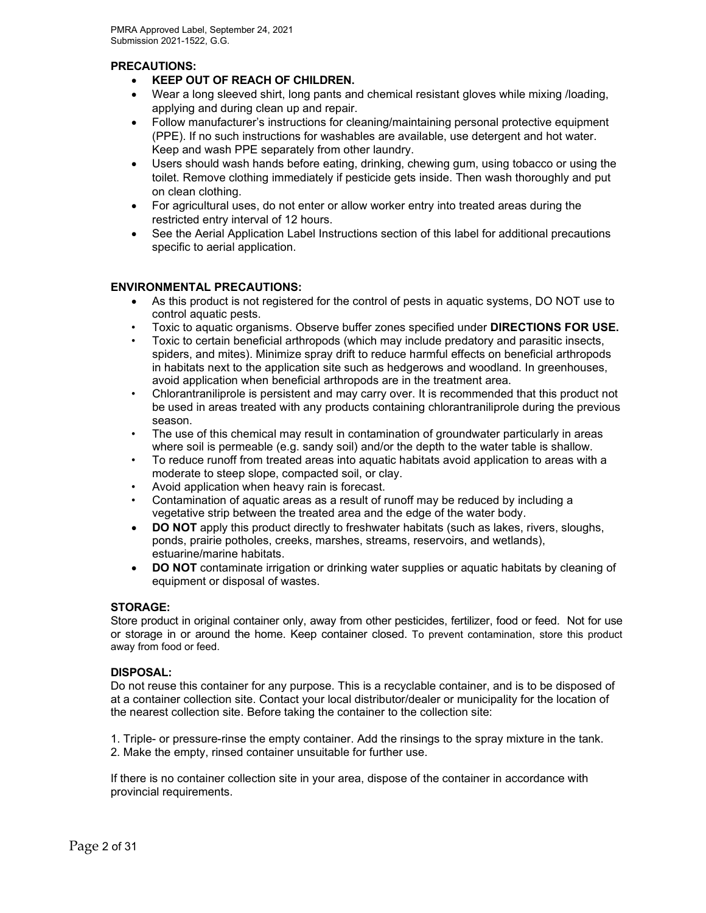## **PRECAUTIONS:**

- **KEEP OUT OF REACH OF CHILDREN.**
- Wear a long sleeved shirt, long pants and chemical resistant gloves while mixing /loading, applying and during clean up and repair.
- Follow manufacturer's instructions for cleaning/maintaining personal protective equipment (PPE). If no such instructions for washables are available, use detergent and hot water. Keep and wash PPE separately from other laundry.
- Users should wash hands before eating, drinking, chewing gum, using tobacco or using the toilet. Remove clothing immediately if pesticide gets inside. Then wash thoroughly and put on clean clothing.
- For agricultural uses, do not enter or allow worker entry into treated areas during the restricted entry interval of 12 hours.
- See the Aerial Application Label Instructions section of this label for additional precautions specific to aerial application.

## **ENVIRONMENTAL PRECAUTIONS:**

- As this product is not registered for the control of pests in aquatic systems, DO NOT use to control aquatic pests.
- Toxic to aquatic organisms. Observe buffer zones specified under **DIRECTIONS FOR USE.**
- Toxic to certain beneficial arthropods (which may include predatory and parasitic insects, spiders, and mites). Minimize spray drift to reduce harmful effects on beneficial arthropods in habitats next to the application site such as hedgerows and woodland. In greenhouses, avoid application when beneficial arthropods are in the treatment area.
- Chlorantraniliprole is persistent and may carry over. It is recommended that this product not be used in areas treated with any products containing chlorantraniliprole during the previous season.
- The use of this chemical may result in contamination of groundwater particularly in areas where soil is permeable (e.g. sandy soil) and/or the depth to the water table is shallow.
- To reduce runoff from treated areas into aquatic habitats avoid application to areas with a moderate to steep slope, compacted soil, or clay.
- Avoid application when heavy rain is forecast.
- Contamination of aquatic areas as a result of runoff may be reduced by including a vegetative strip between the treated area and the edge of the water body.
- **DO NOT** apply this product directly to freshwater habitats (such as lakes, rivers, sloughs, ponds, prairie potholes, creeks, marshes, streams, reservoirs, and wetlands), estuarine/marine habitats.
- **DO NOT** contaminate irrigation or drinking water supplies or aquatic habitats by cleaning of equipment or disposal of wastes.

#### **STORAGE:**

Store product in original container only, away from other pesticides, fertilizer, food or feed. Not for use or storage in or around the home. Keep container closed. To prevent contamination, store this product away from food or feed.

#### **DISPOSAL:**

Do not reuse this container for any purpose. This is a recyclable container, and is to be disposed of at a container collection site. Contact your local distributor/dealer or municipality for the location of the nearest collection site. Before taking the container to the collection site:

1. Triple- or pressure-rinse the empty container. Add the rinsings to the spray mixture in the tank. 2. Make the empty, rinsed container unsuitable for further use.

If there is no container collection site in your area, dispose of the container in accordance with provincial requirements.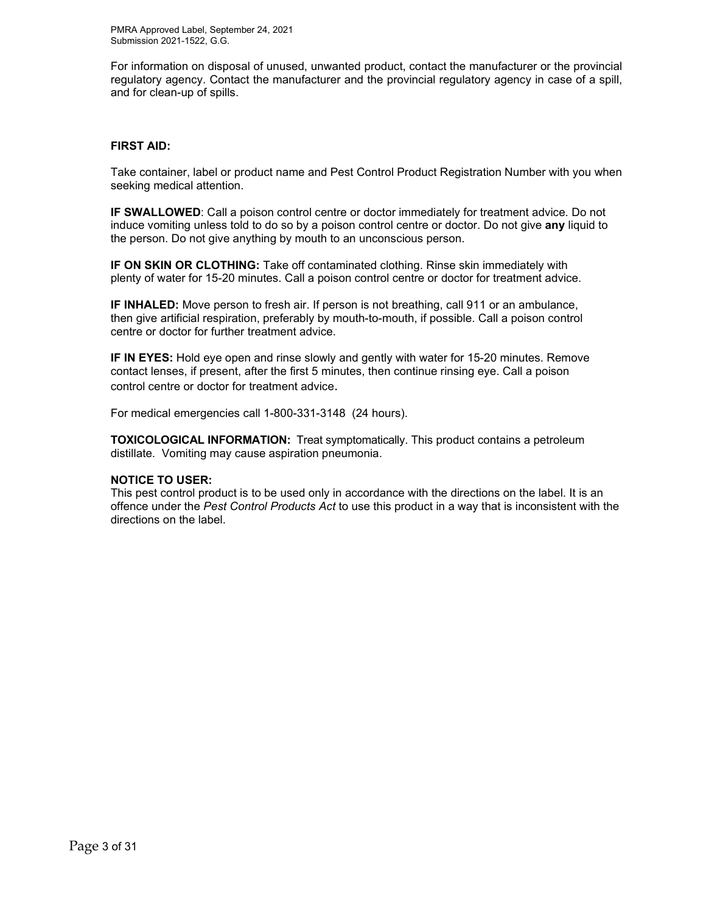For information on disposal of unused, unwanted product, contact the manufacturer or the provincial regulatory agency. Contact the manufacturer and the provincial regulatory agency in case of a spill, and for clean-up of spills.

#### **FIRST AID:**

Take container, label or product name and Pest Control Product Registration Number with you when seeking medical attention.

**IF SWALLOWED**: Call a poison control centre or doctor immediately for treatment advice. Do not induce vomiting unless told to do so by a poison control centre or doctor. Do not give **any** liquid to the person. Do not give anything by mouth to an unconscious person.

**IF ON SKIN OR CLOTHING:** Take off contaminated clothing. Rinse skin immediately with plenty of water for 15-20 minutes. Call a poison control centre or doctor for treatment advice.

**IF INHALED:** Move person to fresh air. If person is not breathing, call 911 or an ambulance, then give artificial respiration, preferably by mouth-to-mouth, if possible. Call a poison control centre or doctor for further treatment advice.

**IF IN EYES:** Hold eye open and rinse slowly and gently with water for 15-20 minutes. Remove contact lenses, if present, after the first 5 minutes, then continue rinsing eye. Call a poison control centre or doctor for treatment advice.

For medical emergencies call 1-800-331-3148 (24 hours).

**TOXICOLOGICAL INFORMATION:** Treat symptomatically. This product contains a petroleum distillate. Vomiting may cause aspiration pneumonia.

#### **NOTICE TO USER:**

This pest control product is to be used only in accordance with the directions on the label. It is an offence under the *Pest Control Products Act* to use this product in a way that is inconsistent with the directions on the label.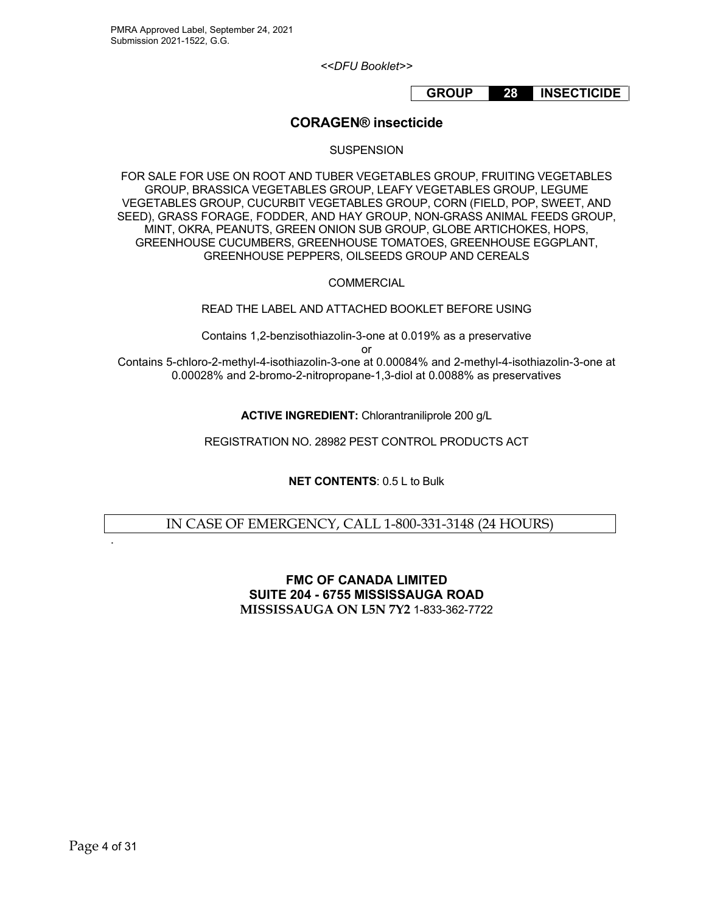*<<DFU Booklet>>*

# **GROUP 28 INSECTICIDE**

## **CORAGEN® insecticide**

#### **SUSPENSION**

FOR SALE FOR USE ON ROOT AND TUBER VEGETABLES GROUP, FRUITING VEGETABLES GROUP, BRASSICA VEGETABLES GROUP, LEAFY VEGETABLES GROUP, LEGUME VEGETABLES GROUP, CUCURBIT VEGETABLES GROUP, CORN (FIELD, POP, SWEET, AND SEED), GRASS FORAGE, FODDER, AND HAY GROUP, NON-GRASS ANIMAL FEEDS GROUP, MINT, OKRA, PEANUTS, GREEN ONION SUB GROUP, GLOBE ARTICHOKES, HOPS, GREENHOUSE CUCUMBERS, GREENHOUSE TOMATOES, GREENHOUSE EGGPLANT, GREENHOUSE PEPPERS, OILSEEDS GROUP AND CEREALS

**COMMERCIAL** 

READ THE LABEL AND ATTACHED BOOKLET BEFORE USING

Contains 1,2-benzisothiazolin-3-one at 0.019% as a preservative or

Contains 5-chloro-2-methyl-4-isothiazolin-3-one at 0.00084% and 2-methyl-4-isothiazolin-3-one at 0.00028% and 2-bromo-2-nitropropane-1,3-diol at 0.0088% as preservatives

**ACTIVE INGREDIENT:** Chlorantraniliprole 200 g/L

REGISTRATION NO. 28982 PEST CONTROL PRODUCTS ACT

**NET CONTENTS**: 0.5 L to Bulk

IN CASE OF EMERGENCY, CALL 1-800-331-3148 (24 HOURS)

**FMC OF CANADA LIMITED SUITE 204 - 6755 MISSISSAUGA ROAD MISSISSAUGA ON L5N 7Y2** 1-833-362-7722

.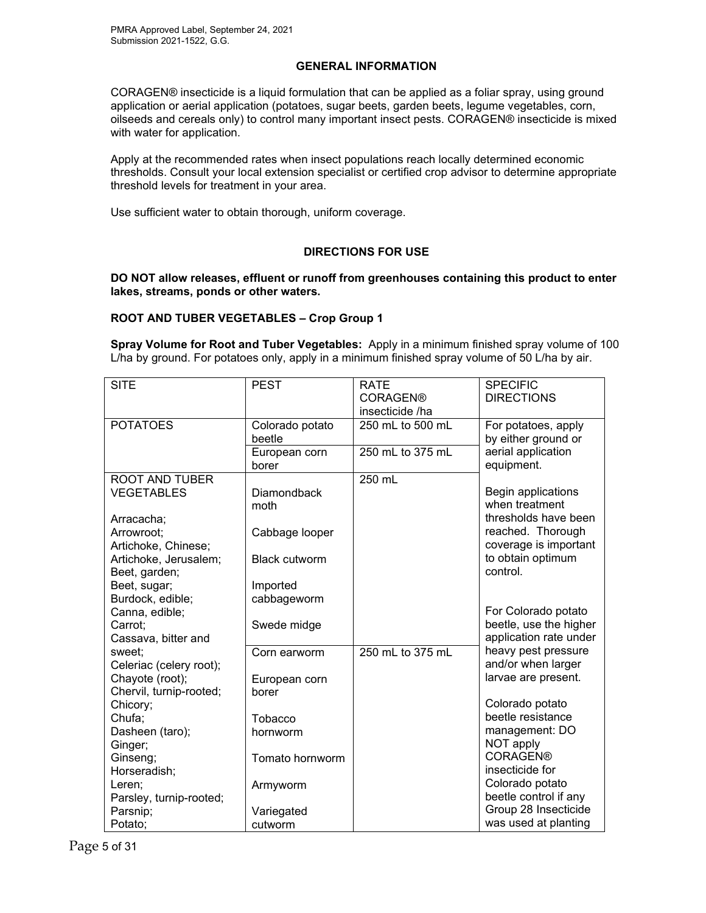## **GENERAL INFORMATION**

CORAGEN® insecticide is a liquid formulation that can be applied as a foliar spray, using ground application or aerial application (potatoes, sugar beets, garden beets, legume vegetables, corn, oilseeds and cereals only) to control many important insect pests. CORAGEN® insecticide is mixed with water for application.

Apply at the recommended rates when insect populations reach locally determined economic thresholds. Consult your local extension specialist or certified crop advisor to determine appropriate threshold levels for treatment in your area.

Use sufficient water to obtain thorough, uniform coverage.

#### **DIRECTIONS FOR USE**

**DO NOT allow releases, effluent or runoff from greenhouses containing this product to enter lakes, streams, ponds or other waters.**

#### **ROOT AND TUBER VEGETABLES – Crop Group 1**

**Spray Volume for Root and Tuber Vegetables:** Apply in a minimum finished spray volume of 100 L/ha by ground. For potatoes only, apply in a minimum finished spray volume of 50 L/ha by air.

| <b>SITE</b>             | <b>PEST</b>          | <b>RATE</b>      | <b>SPECIFIC</b>        |
|-------------------------|----------------------|------------------|------------------------|
|                         |                      | <b>CORAGEN®</b>  | <b>DIRECTIONS</b>      |
|                         |                      | insecticide /ha  |                        |
| <b>POTATOES</b>         | Colorado potato      | 250 mL to 500 mL | For potatoes, apply    |
|                         | beetle               |                  | by either ground or    |
|                         | European corn        | 250 mL to 375 mL | aerial application     |
|                         | borer                |                  | equipment.             |
| <b>ROOT AND TUBER</b>   |                      | 250 mL           |                        |
| <b>VEGETABLES</b>       | <b>Diamondback</b>   |                  | Begin applications     |
|                         | moth                 |                  | when treatment         |
| Arracacha;              |                      |                  | thresholds have been   |
| Arrowroot:              | Cabbage looper       |                  | reached. Thorough      |
| Artichoke, Chinese;     |                      |                  | coverage is important  |
| Artichoke, Jerusalem;   | <b>Black cutworm</b> |                  | to obtain optimum      |
| Beet, garden;           |                      |                  | control.               |
| Beet, sugar;            | Imported             |                  |                        |
| Burdock, edible;        | cabbageworm          |                  |                        |
| Canna, edible;          |                      |                  | For Colorado potato    |
| Carrot:                 | Swede midge          |                  | beetle, use the higher |
| Cassava, bitter and     |                      |                  | application rate under |
| sweet;                  | Corn earworm         | 250 mL to 375 mL | heavy pest pressure    |
| Celeriac (celery root); |                      |                  | and/or when larger     |
| Chayote (root);         | European corn        |                  | larvae are present.    |
| Chervil, turnip-rooted; | borer                |                  |                        |
| Chicory;                |                      |                  | Colorado potato        |
| Chufa;                  | Tobacco              |                  | beetle resistance      |
| Dasheen (taro);         | hornworm             |                  | management: DO         |
| Ginger;                 |                      |                  | NOT apply              |
| Ginseng;                | Tomato hornworm      |                  | <b>CORAGEN®</b>        |
| Horseradish;            |                      |                  | insecticide for        |
| Leren:                  | Armyworm             |                  | Colorado potato        |
| Parsley, turnip-rooted; |                      |                  | beetle control if any  |
| Parsnip;                | Variegated           |                  | Group 28 Insecticide   |
| Potato;                 | cutworm              |                  | was used at planting   |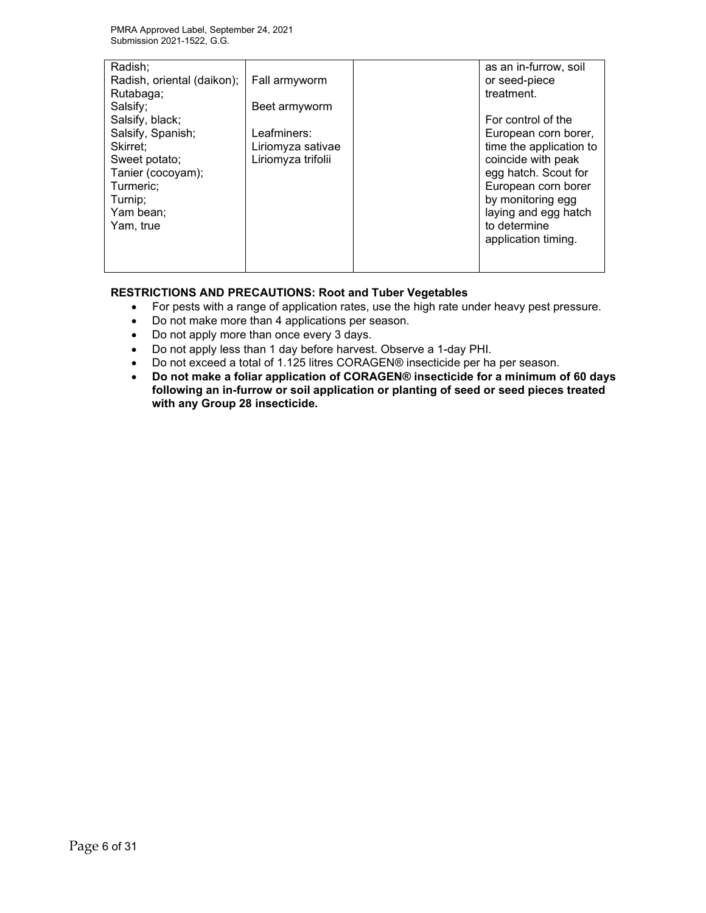| Radish;                    |                    | as an in-furrow, soil   |
|----------------------------|--------------------|-------------------------|
| Radish, oriental (daikon); | Fall armyworm      | or seed-piece           |
| Rutabaga;                  |                    | treatment.              |
| Salsify;                   | Beet armyworm      |                         |
| Salsify, black;            |                    | For control of the      |
| Salsify, Spanish;          | Leafminers:        | European corn borer,    |
| Skirret:                   | Liriomyza sativae  | time the application to |
| Sweet potato;              | Liriomyza trifolii | coincide with peak      |
| Tanier (cocoyam);          |                    | egg hatch. Scout for    |
| Turmeric;                  |                    | European corn borer     |
| Turnip:                    |                    | by monitoring egg       |
| Yam bean;                  |                    | laying and egg hatch    |
| Yam, true                  |                    | to determine            |
|                            |                    | application timing.     |
|                            |                    |                         |
|                            |                    |                         |

## **RESTRICTIONS AND PRECAUTIONS: Root and Tuber Vegetables**

- For pests with a range of application rates, use the high rate under heavy pest pressure.
- Do not make more than 4 applications per season.
- Do not apply more than once every 3 days.
- Do not apply less than 1 day before harvest. Observe a 1-day PHI.
- Do not exceed a total of 1.125 litres CORAGEN® insecticide per ha per season.
- **Do not make a foliar application of CORAGEN® insecticide for a minimum of 60 days following an in-furrow or soil application or planting of seed or seed pieces treated with any Group 28 insecticide.**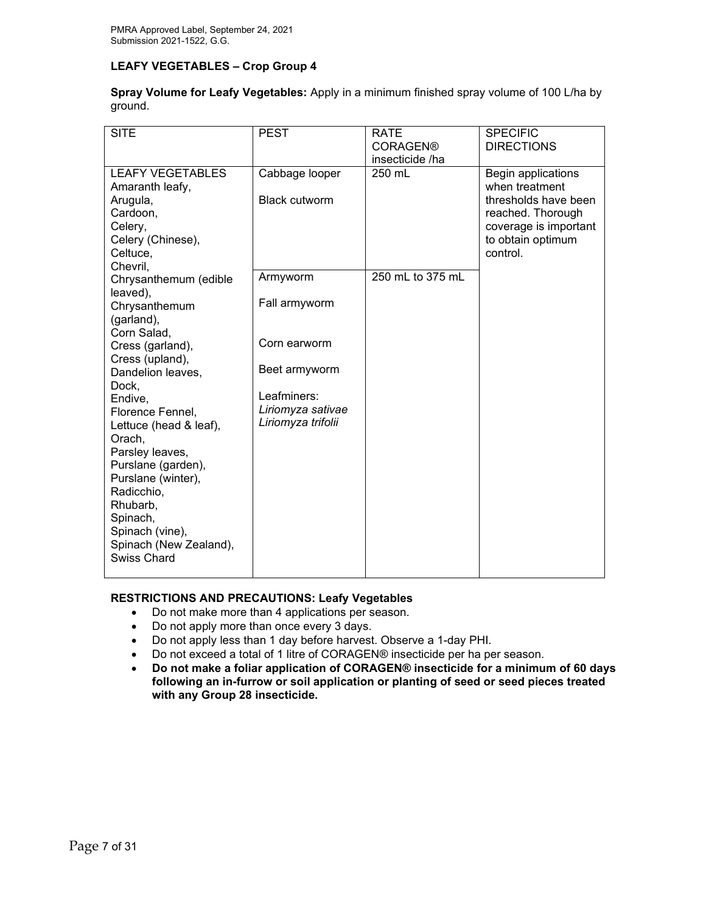## **LEAFY VEGETABLES – Crop Group 4**

| Spray Volume for Leafy Vegetables: Apply in a minimum finished spray volume of 100 L/ha by |  |  |  |
|--------------------------------------------------------------------------------------------|--|--|--|
| ground.                                                                                    |  |  |  |

| <b>SITE</b>                                                                                                                                                                                                                                      | <b>PEST</b>                                            | <b>RATE</b>                        | <b>SPECIFIC</b>                                                                                                                             |
|--------------------------------------------------------------------------------------------------------------------------------------------------------------------------------------------------------------------------------------------------|--------------------------------------------------------|------------------------------------|---------------------------------------------------------------------------------------------------------------------------------------------|
|                                                                                                                                                                                                                                                  |                                                        | <b>CORAGEN®</b><br>insecticide /ha | <b>DIRECTIONS</b>                                                                                                                           |
| <b>LEAFY VEGETABLES</b><br>Amaranth leafy,<br>Arugula,<br>Cardoon,<br>Celery,<br>Celery (Chinese),<br>Celtuce,                                                                                                                                   | Cabbage looper<br><b>Black cutworm</b>                 | 250 mL                             | Begin applications<br>when treatment<br>thresholds have been<br>reached. Thorough<br>coverage is important<br>to obtain optimum<br>control. |
| Chevril,<br>Chrysanthemum (edible                                                                                                                                                                                                                | Armyworm                                               | 250 mL to 375 mL                   |                                                                                                                                             |
| leaved),<br>Chrysanthemum<br>(garland),                                                                                                                                                                                                          | Fall armyworm                                          |                                    |                                                                                                                                             |
| Corn Salad,<br>Cress (garland),<br>Cress (upland),                                                                                                                                                                                               | Corn earworm                                           |                                    |                                                                                                                                             |
| Dandelion leaves,                                                                                                                                                                                                                                | Beet armyworm                                          |                                    |                                                                                                                                             |
| Dock,<br>Endive,<br>Florence Fennel,<br>Lettuce (head & leaf),<br>Orach,<br>Parsley leaves,<br>Purslane (garden),<br>Purslane (winter),<br>Radicchio,<br>Rhubarb,<br>Spinach,<br>Spinach (vine),<br>Spinach (New Zealand),<br><b>Swiss Chard</b> | Leafminers:<br>Liriomyza sativae<br>Liriomyza trifolii |                                    |                                                                                                                                             |

## **RESTRICTIONS AND PRECAUTIONS: Leafy Vegetables**

- Do not make more than 4 applications per season.
- Do not apply more than once every 3 days.
- Do not apply less than 1 day before harvest. Observe a 1-day PHI.
- Do not exceed a total of 1 litre of CORAGEN® insecticide per ha per season.
- **Do not make a foliar application of CORAGEN® insecticide for a minimum of 60 days following an in-furrow or soil application or planting of seed or seed pieces treated with any Group 28 insecticide.**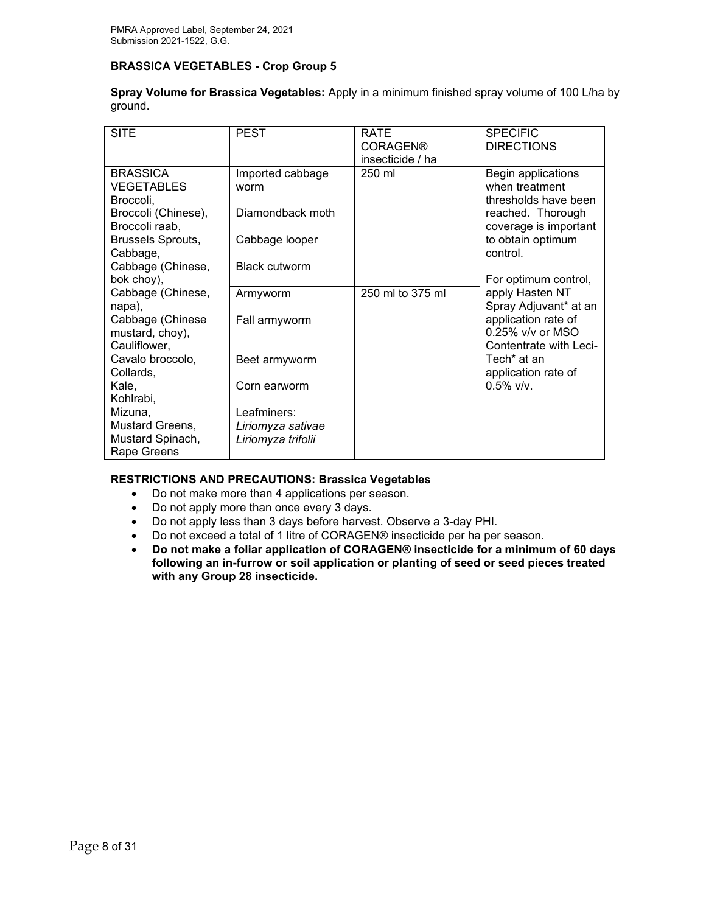## **BRASSICA VEGETABLES - Crop Group 5**

| <b>SITE</b>                     | <b>PEST</b>          | <b>RATE</b>      | <b>SPECIFIC</b>                         |
|---------------------------------|----------------------|------------------|-----------------------------------------|
|                                 |                      | <b>CORAGEN®</b>  | <b>DIRECTIONS</b>                       |
|                                 |                      | insecticide / ha |                                         |
| <b>BRASSICA</b>                 | Imported cabbage     | 250 ml           | Begin applications                      |
| <b>VEGETABLES</b>               | worm                 |                  | when treatment                          |
| Broccoli.                       |                      |                  | thresholds have been                    |
| Broccoli (Chinese),             | Diamondback moth     |                  | reached. Thorough                       |
| Broccoli raab,                  |                      |                  | coverage is important                   |
| Brussels Sprouts,               | Cabbage looper       |                  | to obtain optimum                       |
| Cabbage,                        | <b>Black cutworm</b> |                  | control.                                |
| Cabbage (Chinese,               |                      |                  |                                         |
| bok choy),<br>Cabbage (Chinese, |                      | 250 ml to 375 ml | For optimum control,<br>apply Hasten NT |
| napa),                          | Armyworm             |                  | Spray Adjuvant* at an                   |
| Cabbage (Chinese                | Fall armyworm        |                  | application rate of                     |
| mustard, choy),                 |                      |                  | 0.25% v/v or MSO                        |
| Cauliflower,                    |                      |                  | Contentrate with Leci-                  |
| Cavalo broccolo,                | Beet armyworm        |                  | Tech <sup>*</sup> at an                 |
| Collards,                       |                      |                  | application rate of                     |
| Kale,                           | Corn earworm         |                  | $0.5\%$ v/v.                            |
| Kohlrabi,                       |                      |                  |                                         |
| Mizuna,                         | Leafminers:          |                  |                                         |
| Mustard Greens,                 | Liriomyza sativae    |                  |                                         |
| Mustard Spinach,                | Liriomyza trifolii   |                  |                                         |
| Rape Greens                     |                      |                  |                                         |

**Spray Volume for Brassica Vegetables:** Apply in a minimum finished spray volume of 100 L/ha by ground.

## **RESTRICTIONS AND PRECAUTIONS: Brassica Vegetables**

- Do not make more than 4 applications per season.
- Do not apply more than once every 3 days.
- Do not apply less than 3 days before harvest. Observe a 3-day PHI.
- Do not exceed a total of 1 litre of CORAGEN® insecticide per ha per season.
- **Do not make a foliar application of CORAGEN® insecticide for a minimum of 60 days following an in-furrow or soil application or planting of seed or seed pieces treated with any Group 28 insecticide.**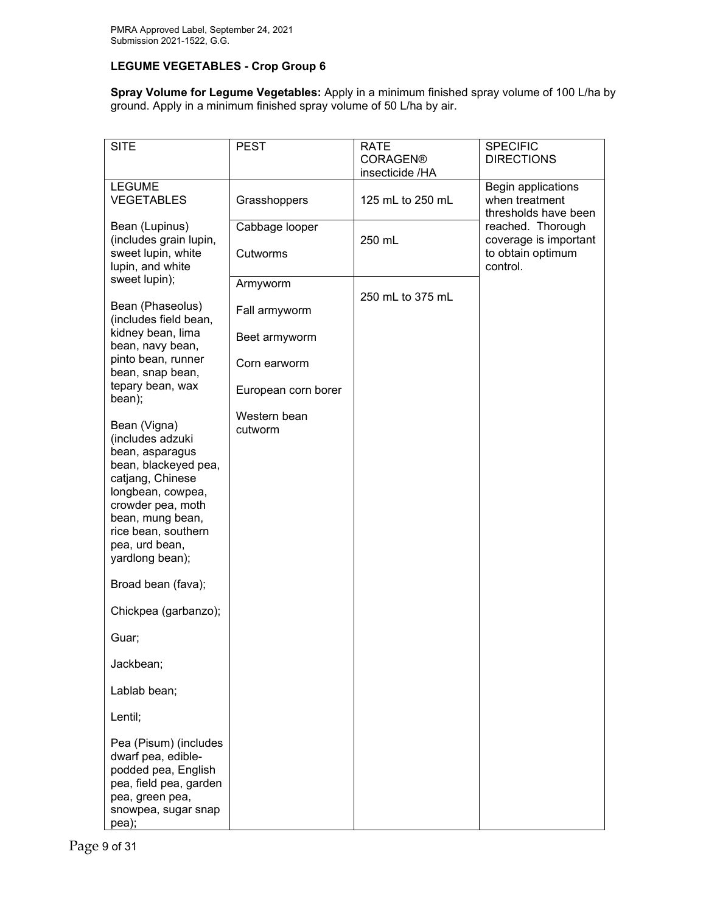## **LEGUME VEGETABLES - Crop Group 6**

**Spray Volume for Legume Vegetables:** Apply in a minimum finished spray volume of 100 L/ha by ground. Apply in a minimum finished spray volume of 50 L/ha by air.

| <b>SITE</b>                                                                                                                                                                                                               | <b>PEST</b>             | <b>RATE</b><br><b>CORAGEN®</b><br>insecticide /HA | <b>SPECIFIC</b><br><b>DIRECTIONS</b>                         |
|---------------------------------------------------------------------------------------------------------------------------------------------------------------------------------------------------------------------------|-------------------------|---------------------------------------------------|--------------------------------------------------------------|
| <b>LEGUME</b><br><b>VEGETABLES</b>                                                                                                                                                                                        | Grasshoppers            | 125 mL to 250 mL                                  | Begin applications<br>when treatment<br>thresholds have been |
| Bean (Lupinus)<br>(includes grain lupin,                                                                                                                                                                                  | Cabbage looper          | 250 mL                                            | reached. Thorough<br>coverage is important                   |
| sweet lupin, white<br>lupin, and white                                                                                                                                                                                    | Cutworms                |                                                   | to obtain optimum<br>control.                                |
| sweet lupin);                                                                                                                                                                                                             | Armyworm                | 250 mL to 375 mL                                  |                                                              |
| Bean (Phaseolus)<br>(includes field bean,                                                                                                                                                                                 | Fall armyworm           |                                                   |                                                              |
| kidney bean, lima<br>bean, navy bean,                                                                                                                                                                                     | Beet armyworm           |                                                   |                                                              |
| pinto bean, runner<br>bean, snap bean,                                                                                                                                                                                    | Corn earworm            |                                                   |                                                              |
| tepary bean, wax<br>bean);                                                                                                                                                                                                | European corn borer     |                                                   |                                                              |
| Bean (Vigna)<br>(includes adzuki<br>bean, asparagus<br>bean, blackeyed pea,<br>catjang, Chinese<br>longbean, cowpea,<br>crowder pea, moth<br>bean, mung bean,<br>rice bean, southern<br>pea, urd bean,<br>yardlong bean); | Western bean<br>cutworm |                                                   |                                                              |
| Broad bean (fava);                                                                                                                                                                                                        |                         |                                                   |                                                              |
| Chickpea (garbanzo);                                                                                                                                                                                                      |                         |                                                   |                                                              |
| Guar;                                                                                                                                                                                                                     |                         |                                                   |                                                              |
| Jackbean;                                                                                                                                                                                                                 |                         |                                                   |                                                              |
| Lablab bean;                                                                                                                                                                                                              |                         |                                                   |                                                              |
| Lentil;                                                                                                                                                                                                                   |                         |                                                   |                                                              |
| Pea (Pisum) (includes<br>dwarf pea, edible-<br>podded pea, English<br>pea, field pea, garden<br>pea, green pea,<br>snowpea, sugar snap<br>pea);                                                                           |                         |                                                   |                                                              |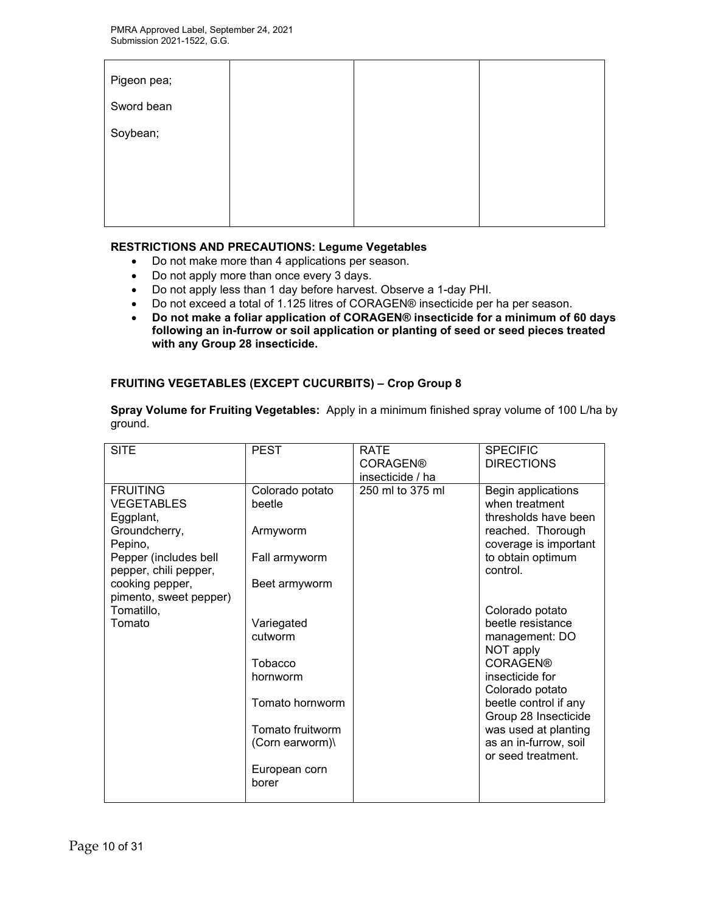| Pigeon pea; |  |  |
|-------------|--|--|
| Sword bean  |  |  |
| Soybean;    |  |  |
|             |  |  |
|             |  |  |
|             |  |  |

## **RESTRICTIONS AND PRECAUTIONS: Legume Vegetables**

- Do not make more than 4 applications per season.
- Do not apply more than once every 3 days.
- Do not apply less than 1 day before harvest. Observe a 1-day PHI.
- Do not exceed a total of 1.125 litres of CORAGEN® insecticide per ha per season.
- **Do not make a foliar application of CORAGEN® insecticide for a minimum of 60 days following an in-furrow or soil application or planting of seed or seed pieces treated with any Group 28 insecticide.**

#### **FRUITING VEGETABLES (EXCEPT CUCURBITS) – Crop Group 8**

| ground.                                           |                           |                                                    |                                                              |
|---------------------------------------------------|---------------------------|----------------------------------------------------|--------------------------------------------------------------|
| <b>SITE</b>                                       | <b>PEST</b>               | <b>RATE</b><br><b>CORAGEN®</b><br>insecticide / ha | <b>SPECIFIC</b><br><b>DIRECTIONS</b>                         |
| <b>FRUITING</b><br><b>VEGETABLES</b><br>Eggplant, | Colorado potato<br>beetle | 250 ml to 375 ml                                   | Begin applications<br>when treatment<br>thresholds have been |
| Groundcherry,<br>Pepino,                          | Armyworm                  |                                                    | reached. Thorough<br>coverage is important                   |
| Pepper (includes bell<br>pepper, chili pepper,    | Fall armyworm             |                                                    | to obtain optimum<br>control.                                |
| cooking pepper,<br>pimento, sweet pepper)         | Beet armyworm             |                                                    |                                                              |
| Tomatillo,<br>Tomato                              | Variegated                |                                                    | Colorado potato<br>beetle resistance                         |
|                                                   | cutworm                   |                                                    | management: DO<br>NOT apply                                  |
|                                                   | Tobacco<br>hornworm       |                                                    | <b>CORAGEN®</b><br>insecticide for                           |
|                                                   | Tomato hornworm           |                                                    | Colorado potato<br>beetle control if any                     |
|                                                   | Tomato fruitworm          |                                                    | Group 28 Insecticide<br>was used at planting                 |
|                                                   | (Corn earworm)\           |                                                    | as an in-furrow, soil<br>or seed treatment.                  |
|                                                   | European corn<br>borer    |                                                    |                                                              |
|                                                   |                           |                                                    |                                                              |

**Spray Volume for Fruiting Vegetables:** Apply in a minimum finished spray volume of 100 L/ha by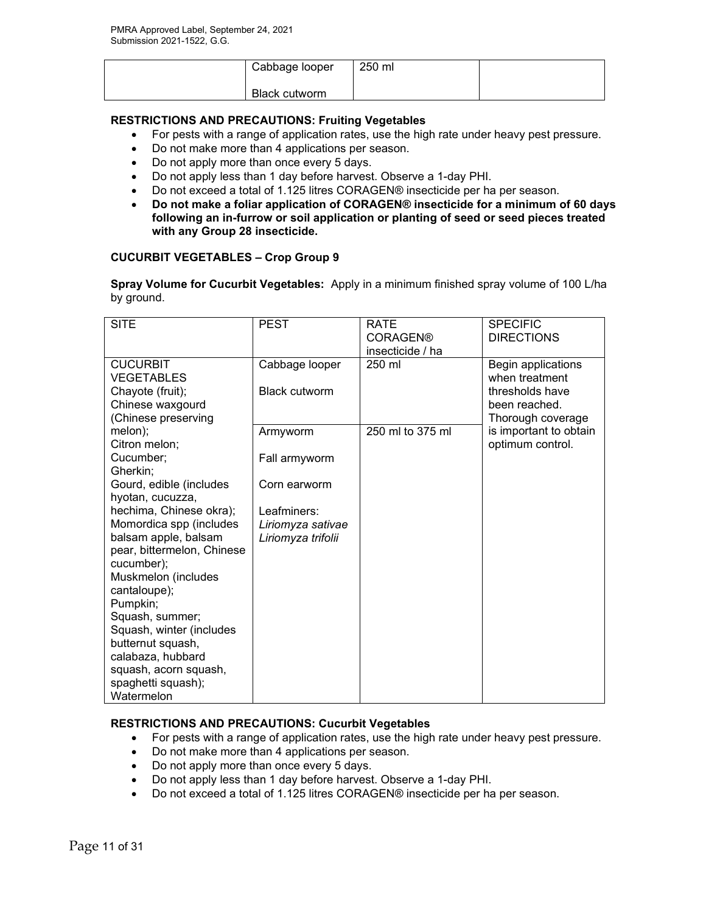| Cabbage looper | 250 ml |  |
|----------------|--------|--|
| Black cutworm  |        |  |

## **RESTRICTIONS AND PRECAUTIONS: Fruiting Vegetables**

- For pests with a range of application rates, use the high rate under heavy pest pressure.
- Do not make more than 4 applications per season.
- Do not apply more than once every 5 days.
- Do not apply less than 1 day before harvest. Observe a 1-day PHI.
- Do not exceed a total of 1.125 litres CORAGEN® insecticide per ha per season.
- **Do not make a foliar application of CORAGEN® insecticide for a minimum of 60 days following an in-furrow or soil application or planting of seed or seed pieces treated with any Group 28 insecticide.**

#### **CUCURBIT VEGETABLES – Crop Group 9**

**Spray Volume for Cucurbit Vegetables:** Apply in a minimum finished spray volume of 100 L/ha by ground.

| <b>SITE</b>                                                                                                                                                                                                                                                                                                                                                                                                                         | <b>PEST</b>                                                                                         | <b>RATE</b><br><b>CORAGEN®</b><br>insecticide / ha | <b>SPECIFIC</b><br><b>DIRECTIONS</b>                                                          |
|-------------------------------------------------------------------------------------------------------------------------------------------------------------------------------------------------------------------------------------------------------------------------------------------------------------------------------------------------------------------------------------------------------------------------------------|-----------------------------------------------------------------------------------------------------|----------------------------------------------------|-----------------------------------------------------------------------------------------------|
| <b>CUCURBIT</b><br><b>VEGETABLES</b><br>Chayote (fruit);<br>Chinese waxgourd<br>(Chinese preserving                                                                                                                                                                                                                                                                                                                                 | Cabbage looper<br><b>Black cutworm</b>                                                              | 250 ml                                             | Begin applications<br>when treatment<br>thresholds have<br>been reached.<br>Thorough coverage |
| melon);<br>Citron melon;<br>Cucumber;<br>Gherkin;<br>Gourd, edible (includes<br>hyotan, cucuzza,<br>hechima, Chinese okra);<br>Momordica spp (includes<br>balsam apple, balsam<br>pear, bittermelon, Chinese<br>cucumber);<br>Muskmelon (includes<br>cantaloupe);<br>Pumpkin;<br>Squash, summer;<br>Squash, winter (includes<br>butternut squash,<br>calabaza, hubbard<br>squash, acorn squash,<br>spaghetti squash);<br>Watermelon | Armyworm<br>Fall armyworm<br>Corn earworm<br>Leafminers:<br>Liriomyza sativae<br>Liriomyza trifolii | 250 ml to 375 ml                                   | is important to obtain<br>optimum control.                                                    |

## **RESTRICTIONS AND PRECAUTIONS: Cucurbit Vegetables**

- For pests with a range of application rates, use the high rate under heavy pest pressure.
- Do not make more than 4 applications per season.
- Do not apply more than once every 5 days.
- Do not apply less than 1 day before harvest. Observe a 1-day PHI.
- Do not exceed a total of 1.125 litres CORAGEN® insecticide per ha per season.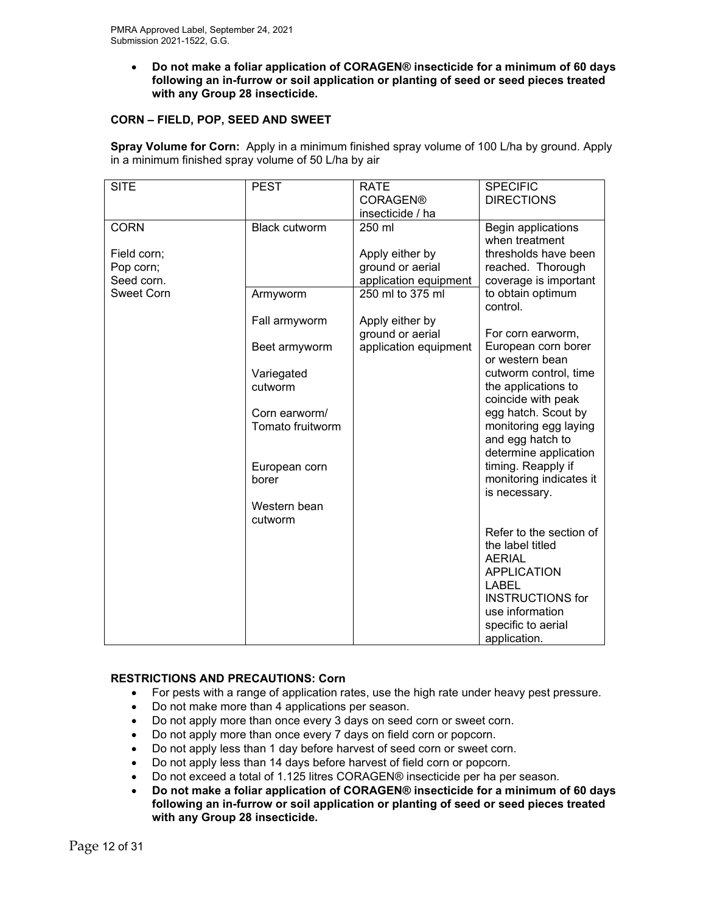• **Do not make a foliar application of CORAGEN® insecticide for a minimum of 60 days following an in-furrow or soil application or planting of seed or seed pieces treated with any Group 28 insecticide.**

## **CORN – FIELD, POP, SEED AND SWEET**

**Spray Volume for Corn:** Apply in a minimum finished spray volume of 100 L/ha by ground. Apply in a minimum finished spray volume of 50 L/ha by air

| <b>SITE</b>       | <b>PEST</b>          | <b>RATE</b>           | <b>SPECIFIC</b>         |
|-------------------|----------------------|-----------------------|-------------------------|
|                   |                      | <b>CORAGEN®</b>       | <b>DIRECTIONS</b>       |
|                   |                      | insecticide / ha      |                         |
| <b>CORN</b>       | <b>Black cutworm</b> | 250 ml                | Begin applications      |
|                   |                      |                       | when treatment          |
| Field corn;       |                      | Apply either by       | thresholds have been    |
| Pop corn;         |                      | ground or aerial      | reached. Thorough       |
| Seed corn.        |                      | application equipment | coverage is important   |
| <b>Sweet Corn</b> | Armyworm             | 250 ml to 375 ml      | to obtain optimum       |
|                   |                      |                       | control.                |
|                   | Fall armyworm        | Apply either by       |                         |
|                   |                      | ground or aerial      | For corn earworm,       |
|                   | Beet armyworm        | application equipment | European corn borer     |
|                   |                      |                       | or western bean         |
|                   | Variegated           |                       | cutworm control, time   |
|                   | cutworm              |                       | the applications to     |
|                   |                      |                       | coincide with peak      |
|                   | Corn earworm/        |                       | egg hatch. Scout by     |
|                   | Tomato fruitworm     |                       | monitoring egg laying   |
|                   |                      |                       | and egg hatch to        |
|                   |                      |                       | determine application   |
|                   | European corn        |                       | timing. Reapply if      |
|                   | borer                |                       | monitoring indicates it |
|                   |                      |                       | is necessary.           |
|                   | Western bean         |                       |                         |
|                   | cutworm              |                       |                         |
|                   |                      |                       | Refer to the section of |
|                   |                      |                       | the label titled        |
|                   |                      |                       | <b>AERIAL</b>           |
|                   |                      |                       | <b>APPLICATION</b>      |
|                   |                      |                       | <b>LABEL</b>            |
|                   |                      |                       | <b>INSTRUCTIONS for</b> |
|                   |                      |                       | use information         |
|                   |                      |                       | specific to aerial      |
|                   |                      |                       | application.            |

## **RESTRICTIONS AND PRECAUTIONS: Corn**

- For pests with a range of application rates, use the high rate under heavy pest pressure.
- Do not make more than 4 applications per season.
- Do not apply more than once every 3 days on seed corn or sweet corn.
- Do not apply more than once every 7 days on field corn or popcorn.
- Do not apply less than 1 day before harvest of seed corn or sweet corn.
- Do not apply less than 14 days before harvest of field corn or popcorn.
- Do not exceed a total of 1.125 litres CORAGEN® insecticide per ha per season.
- **Do not make a foliar application of CORAGEN® insecticide for a minimum of 60 days following an in-furrow or soil application or planting of seed or seed pieces treated with any Group 28 insecticide.**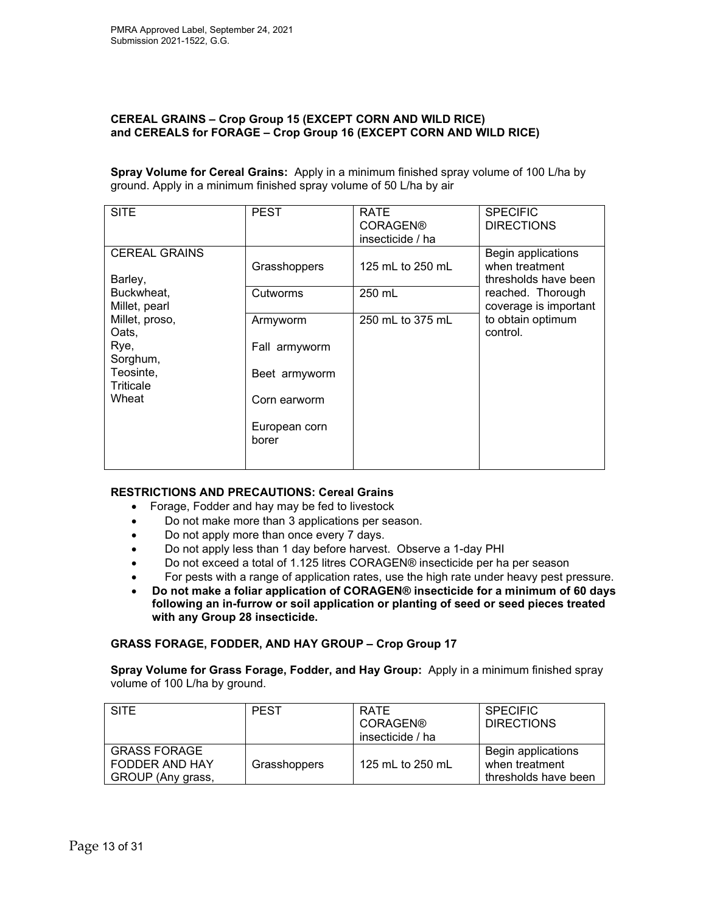#### **CEREAL GRAINS – Crop Group 15 (EXCEPT CORN AND WILD RICE) and CEREALS for FORAGE – Crop Group 16 (EXCEPT CORN AND WILD RICE)**

**Spray Volume for Cereal Grains:** Apply in a minimum finished spray volume of 100 L/ha by ground. Apply in a minimum finished spray volume of 50 L/ha by air

| <b>SITE</b>                                 | <b>PEST</b>                   | <b>RATE</b><br><b>CORAGEN®</b><br>insecticide / ha | <b>SPECIFIC</b><br><b>DIRECTIONS</b>                         |
|---------------------------------------------|-------------------------------|----------------------------------------------------|--------------------------------------------------------------|
| <b>CEREAL GRAINS</b><br>Barley,             | Grasshoppers                  | 125 mL to 250 mL                                   | Begin applications<br>when treatment<br>thresholds have been |
| Buckwheat,<br>Millet, pearl                 | Cutworms                      | 250 mL                                             | reached. Thorough<br>coverage is important                   |
| Millet, proso,<br>Oats,<br>Rye,<br>Sorghum, | Armyworm<br>Fall armyworm     | 250 mL to 375 mL                                   | to obtain optimum<br>control.                                |
| Teosinte,<br>Triticale<br>Wheat             | Beet armyworm<br>Corn earworm |                                                    |                                                              |
|                                             | European corn<br>borer        |                                                    |                                                              |

## **RESTRICTIONS AND PRECAUTIONS: Cereal Grains**

- Forage, Fodder and hay may be fed to livestock
- Do not make more than 3 applications per season.
- Do not apply more than once every 7 days.
- Do not apply less than 1 day before harvest. Observe a 1-day PHI
- Do not exceed a total of 1.125 litres CORAGEN® insecticide per ha per season
- For pests with a range of application rates, use the high rate under heavy pest pressure.
- **Do not make a foliar application of CORAGEN® insecticide for a minimum of 60 days following an in-furrow or soil application or planting of seed or seed pieces treated with any Group 28 insecticide.**

## **GRASS FORAGE, FODDER, AND HAY GROUP – Crop Group 17**

**Spray Volume for Grass Forage, Fodder, and Hay Group:** Apply in a minimum finished spray volume of 100 L/ha by ground.

| <b>SITE</b>                                                | <b>PEST</b>  | <b>RATE</b><br><b>CORAGEN®</b><br>insecticide / ha | <b>SPECIFIC</b><br><b>DIRECTIONS</b>                         |
|------------------------------------------------------------|--------------|----------------------------------------------------|--------------------------------------------------------------|
| <b>GRASS FORAGE</b><br>FODDER AND HAY<br>GROUP (Any grass, | Grasshoppers | 125 mL to 250 mL                                   | Begin applications<br>when treatment<br>thresholds have been |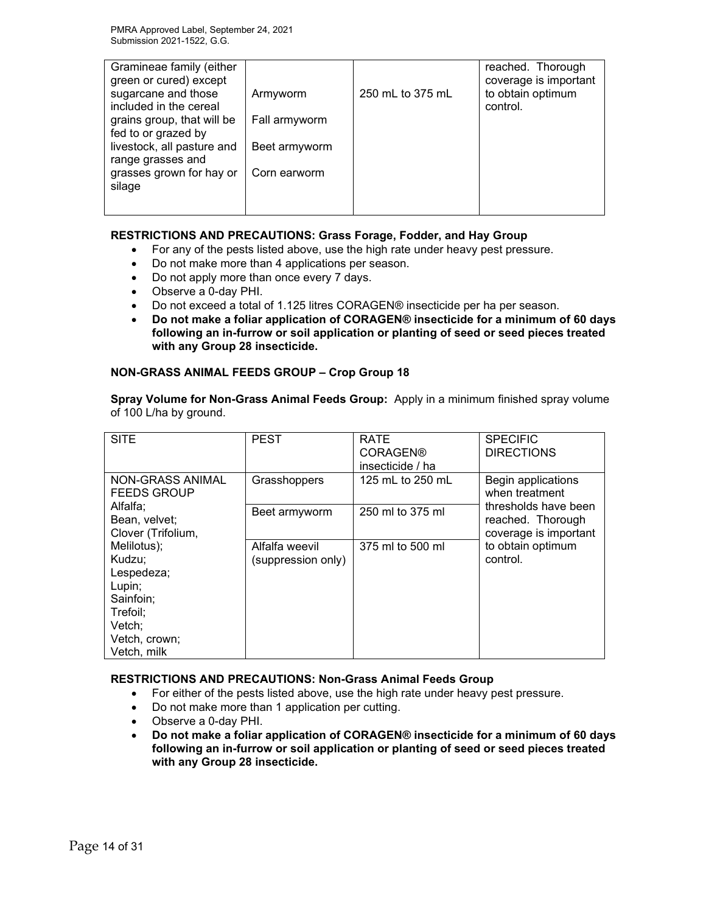| Gramineae family (either<br>green or cured) except |               |                  | reached. Thorough<br>coverage is important |
|----------------------------------------------------|---------------|------------------|--------------------------------------------|
| sugarcane and those                                | Armyworm      | 250 mL to 375 mL | to obtain optimum                          |
| included in the cereal                             |               |                  | control.                                   |
| grains group, that will be                         | Fall armyworm |                  |                                            |
| fed to or grazed by                                |               |                  |                                            |
| livestock, all pasture and                         | Beet armyworm |                  |                                            |
| range grasses and                                  |               |                  |                                            |
| grasses grown for hay or                           | Corn earworm  |                  |                                            |
| silage                                             |               |                  |                                            |
|                                                    |               |                  |                                            |
|                                                    |               |                  |                                            |

## **RESTRICTIONS AND PRECAUTIONS: Grass Forage, Fodder, and Hay Group**

- For any of the pests listed above, use the high rate under heavy pest pressure.
- Do not make more than 4 applications per season.
- Do not apply more than once every 7 days.
- Observe a 0-day PHI.
- Do not exceed a total of 1.125 litres CORAGEN® insecticide per ha per season.
- **Do not make a foliar application of CORAGEN® insecticide for a minimum of 60 days following an in-furrow or soil application or planting of seed or seed pieces treated with any Group 28 insecticide.**

## **NON-GRASS ANIMAL FEEDS GROUP – Crop Group 18**

**Spray Volume for Non-Grass Animal Feeds Group:** Apply in a minimum finished spray volume of 100 L/ha by ground.

| <b>SITE</b>                                                                                                      | <b>PEST</b>                          | <b>RATE</b><br><b>CORAGEN®</b><br>insecticide / ha | <b>SPECIFIC</b><br><b>DIRECTIONS</b>                               |
|------------------------------------------------------------------------------------------------------------------|--------------------------------------|----------------------------------------------------|--------------------------------------------------------------------|
| NON-GRASS ANIMAL<br><b>FEEDS GROUP</b>                                                                           | Grasshoppers                         | 125 mL to 250 mL                                   | Begin applications<br>when treatment                               |
| Alfalfa;<br>Bean, velvet;<br>Clover (Trifolium,                                                                  | Beet armyworm                        | 250 ml to 375 ml                                   | thresholds have been<br>reached. Thorough<br>coverage is important |
| Melilotus);<br>Kudzu;<br>Lespedeza;<br>Lupin;<br>Sainfoin;<br>Trefoil:<br>Vetch:<br>Vetch, crown;<br>Vetch, milk | Alfalfa weevil<br>(suppression only) | 375 ml to 500 ml                                   | to obtain optimum<br>control.                                      |

## **RESTRICTIONS AND PRECAUTIONS: Non-Grass Animal Feeds Group**

- For either of the pests listed above, use the high rate under heavy pest pressure.
- Do not make more than 1 application per cutting.
- Observe a 0-day PHI.
- **Do not make a foliar application of CORAGEN® insecticide for a minimum of 60 days following an in-furrow or soil application or planting of seed or seed pieces treated with any Group 28 insecticide.**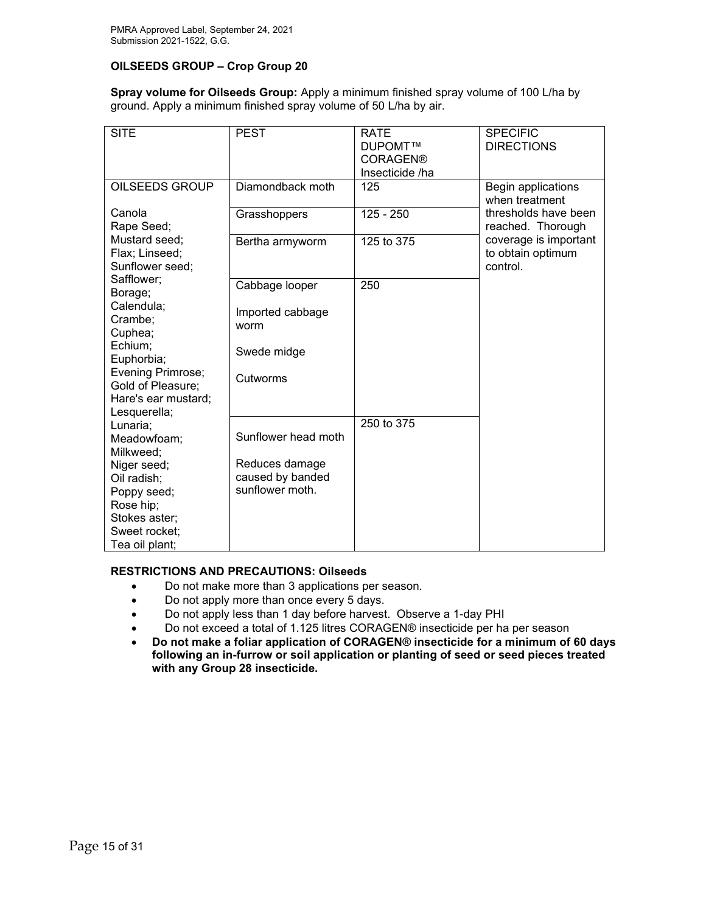## **OILSEEDS GROUP – Crop Group 20**

**Spray volume for Oilseeds Group:** Apply a minimum finished spray volume of 100 L/ha by ground. Apply a minimum finished spray volume of 50 L/ha by air.

| <b>SITE</b>                                        | <b>PEST</b>                        | <b>RATE</b>     | <b>SPECIFIC</b>                                        |
|----------------------------------------------------|------------------------------------|-----------------|--------------------------------------------------------|
|                                                    |                                    | DUPOMT™         | <b>DIRECTIONS</b>                                      |
|                                                    |                                    | <b>CORAGEN®</b> |                                                        |
|                                                    |                                    | Insecticide /ha |                                                        |
| OILSEEDS GROUP                                     | Diamondback moth                   | 125             | Begin applications<br>when treatment                   |
| Canola<br>Rape Seed;                               | Grasshoppers                       | $125 - 250$     | thresholds have been<br>reached. Thorough              |
| Mustard seed;<br>Flax; Linseed;<br>Sunflower seed; | Bertha armyworm                    | 125 to 375      | coverage is important<br>to obtain optimum<br>control. |
| Safflower;                                         | Cabbage looper                     | 250             |                                                        |
| Borage;<br>Calendula;<br>Crambe:<br>Cuphea;        | Imported cabbage<br>worm           |                 |                                                        |
| Echium;<br>Euphorbia;                              | Swede midge                        |                 |                                                        |
| Evening Primrose;<br>Gold of Pleasure;             | Cutworms                           |                 |                                                        |
| Hare's ear mustard;                                |                                    |                 |                                                        |
| Lesquerella;                                       |                                    | 250 to 375      |                                                        |
| Lunaria;<br>Meadowfoam;                            | Sunflower head moth                |                 |                                                        |
| Milkweed;                                          |                                    |                 |                                                        |
| Niger seed;                                        | Reduces damage<br>caused by banded |                 |                                                        |
| Oil radish;                                        | sunflower moth.                    |                 |                                                        |
| Poppy seed;                                        |                                    |                 |                                                        |
| Rose hip;                                          |                                    |                 |                                                        |
| Stokes aster;                                      |                                    |                 |                                                        |
| Sweet rocket;                                      |                                    |                 |                                                        |
| Tea oil plant;                                     |                                    |                 |                                                        |

## **RESTRICTIONS AND PRECAUTIONS: Oilseeds**

- Do not make more than 3 applications per season.
- Do not apply more than once every 5 days.
- Do not apply less than 1 day before harvest. Observe a 1-day PHI
- Do not exceed a total of 1.125 litres CORAGEN® insecticide per ha per season
- **Do not make a foliar application of CORAGEN® insecticide for a minimum of 60 days following an in-furrow or soil application or planting of seed or seed pieces treated with any Group 28 insecticide.**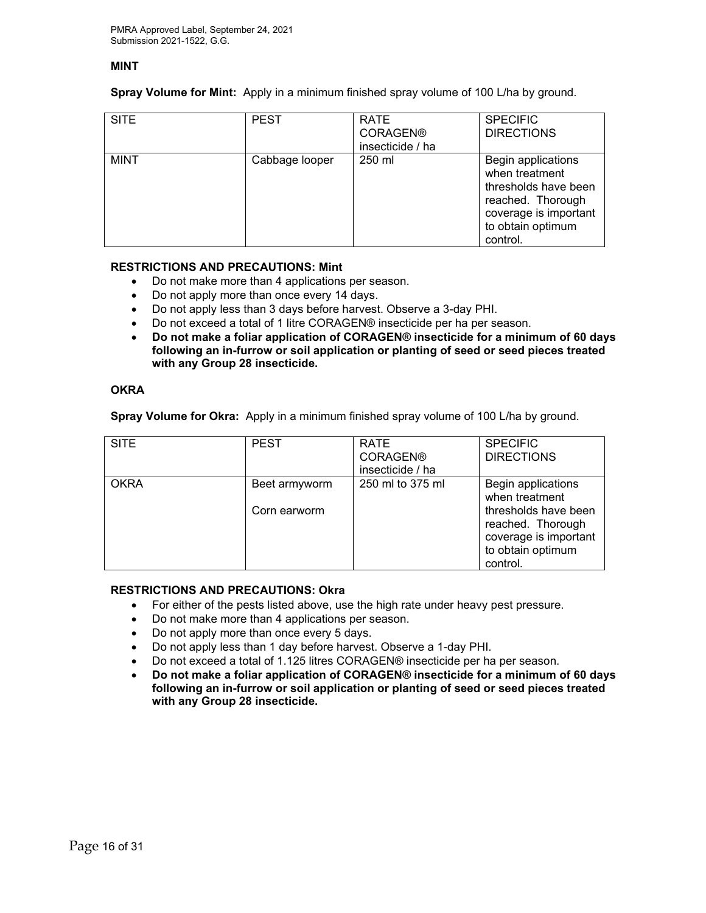#### **MINT**

**Spray Volume for Mint:** Apply in a minimum finished spray volume of 100 L/ha by ground.

| <b>SITE</b> | <b>PEST</b>    | RATE<br><b>CORAGEN®</b><br>insecticide / ha | <b>SPECIFIC</b><br><b>DIRECTIONS</b>                                                                                                        |
|-------------|----------------|---------------------------------------------|---------------------------------------------------------------------------------------------------------------------------------------------|
| <b>MINT</b> | Cabbage looper | 250 ml                                      | Begin applications<br>when treatment<br>thresholds have been<br>reached. Thorough<br>coverage is important<br>to obtain optimum<br>control. |

#### **RESTRICTIONS AND PRECAUTIONS: Mint**

- Do not make more than 4 applications per season.
- Do not apply more than once every 14 days.
- Do not apply less than 3 days before harvest. Observe a 3-day PHI.
- Do not exceed a total of 1 litre CORAGEN® insecticide per ha per season.
- **Do not make a foliar application of CORAGEN® insecticide for a minimum of 60 days following an in-furrow or soil application or planting of seed or seed pieces treated with any Group 28 insecticide.**

#### **OKRA**

**Spray Volume for Okra:** Apply in a minimum finished spray volume of 100 L/ha by ground.

| <b>SITE</b> | <b>PEST</b>                   | <b>RATE</b><br><b>CORAGEN®</b><br>insecticide / ha | <b>SPECIFIC</b><br><b>DIRECTIONS</b>                                                                                                        |
|-------------|-------------------------------|----------------------------------------------------|---------------------------------------------------------------------------------------------------------------------------------------------|
| <b>OKRA</b> | Beet armyworm<br>Corn earworm | 250 ml to 375 ml                                   | Begin applications<br>when treatment<br>thresholds have been<br>reached. Thorough<br>coverage is important<br>to obtain optimum<br>control. |

#### **RESTRICTIONS AND PRECAUTIONS: Okra**

- For either of the pests listed above, use the high rate under heavy pest pressure.
- Do not make more than 4 applications per season.
- Do not apply more than once every 5 days.
- Do not apply less than 1 day before harvest. Observe a 1-day PHI.
- Do not exceed a total of 1.125 litres CORAGEN® insecticide per ha per season.
- **Do not make a foliar application of CORAGEN® insecticide for a minimum of 60 days following an in-furrow or soil application or planting of seed or seed pieces treated with any Group 28 insecticide.**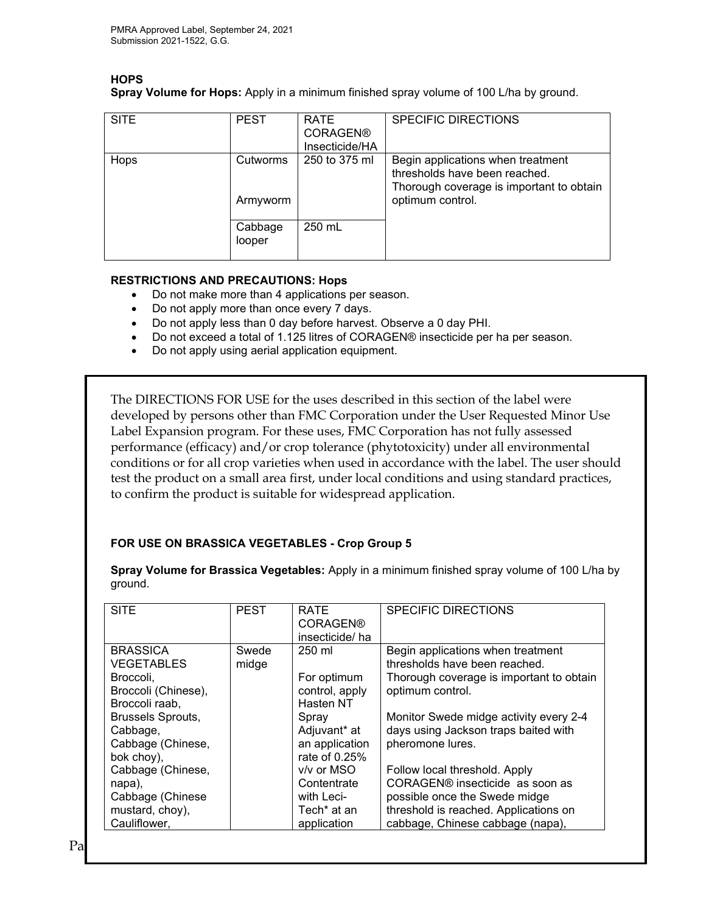# **HOPS**

**Spray Volume for Hops:** Apply in a minimum finished spray volume of 100 L/ha by ground.

| <b>SITE</b> | <b>PEST</b>          | <b>RATE</b><br><b>CORAGEN®</b><br>Insecticide/HA | <b>SPECIFIC DIRECTIONS</b>                                                                                                         |
|-------------|----------------------|--------------------------------------------------|------------------------------------------------------------------------------------------------------------------------------------|
| Hops        | Cutworms<br>Armyworm | 250 to 375 ml                                    | Begin applications when treatment<br>thresholds have been reached.<br>Thorough coverage is important to obtain<br>optimum control. |
|             | Cabbage<br>looper    | 250 mL                                           |                                                                                                                                    |

## **RESTRICTIONS AND PRECAUTIONS: Hops**

- Do not make more than 4 applications per season.
- Do not apply more than once every 7 days.
- Do not apply less than 0 day before harvest. Observe a 0 day PHI.
- Do not exceed a total of 1.125 litres of CORAGEN® insecticide per ha per season.
- Do not apply using aerial application equipment.

The DIRECTIONS FOR USE for the uses described in this section of the label were developed by persons other than FMC Corporation under the User Requested Minor Use Label Expansion program. For these uses, FMC Corporation has not fully assessed performance (efficacy) and/or crop tolerance (phytotoxicity) under all environmental conditions or for all crop varieties when used in accordance with the label. The user should test the product on a small area first, under local conditions and using standard practices, to confirm the product is suitable for widespread application.

# **FOR USE ON BRASSICA VEGETABLES - Crop Group 5**

**Spray Volume for Brassica Vegetables:** Apply in a minimum finished spray volume of 100 L/ha by ground.

| <b>SITE</b>                                                                                                                                                           | <b>PEST</b>    | <b>RATE</b><br><b>CORAGEN®</b><br>insecticide/ha                                                                 | <b>SPECIFIC DIRECTIONS</b>                                                                                                                                                                                                               |
|-----------------------------------------------------------------------------------------------------------------------------------------------------------------------|----------------|------------------------------------------------------------------------------------------------------------------|------------------------------------------------------------------------------------------------------------------------------------------------------------------------------------------------------------------------------------------|
| <b>BRASSICA</b><br><b>VEGETABLES</b><br>Broccoli,<br>Broccoli (Chinese),<br>Broccoli raab,<br><b>Brussels Sprouts,</b><br>Cabbage,<br>Cabbage (Chinese,<br>bok choy), | Swede<br>midge | 250 ml<br>For optimum<br>control, apply<br>Hasten NT<br>Spray<br>Adjuvant* at<br>an application<br>rate of 0.25% | Begin applications when treatment<br>thresholds have been reached.<br>Thorough coverage is important to obtain<br>optimum control.<br>Monitor Swede midge activity every 2-4<br>days using Jackson traps baited with<br>pheromone lures. |
| Cabbage (Chinese,<br>napa),<br>Cabbage (Chinese<br>mustard, choy),<br>Cauliflower,                                                                                    |                | v/v or MSO<br>Contentrate<br>with Leci-<br>Tech <sup>*</sup> at an<br>application                                | Follow local threshold. Apply<br>CORAGEN® insecticide as soon as<br>possible once the Swede midge<br>threshold is reached. Applications on<br>cabbage, Chinese cabbage (napa),                                                           |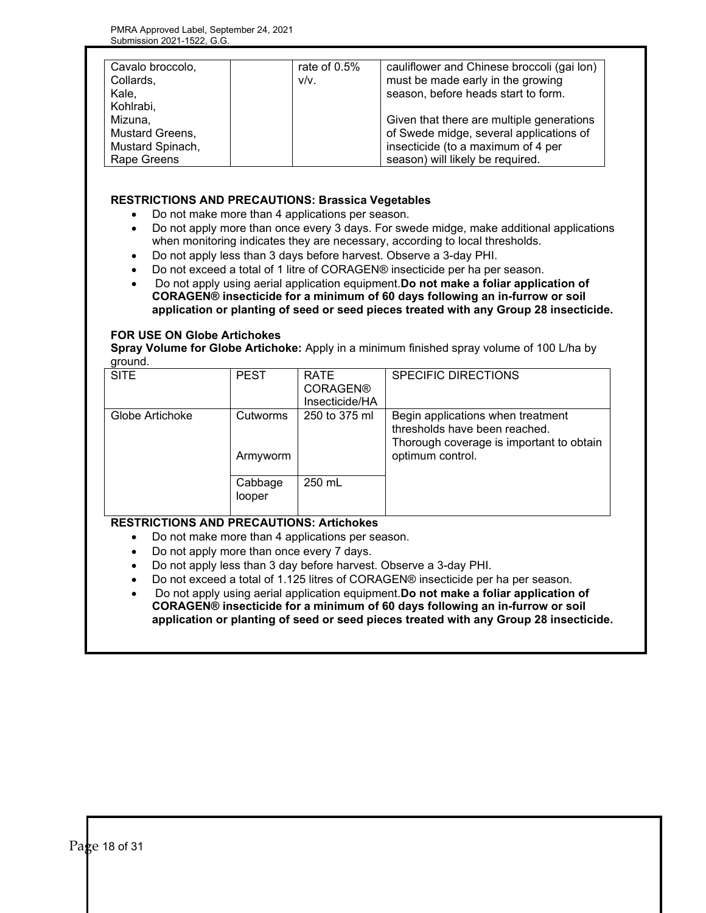| Cavalo broccolo,<br>Collards,   | rate of 0.5%<br>$V/V$ . | cauliflower and Chinese broccoli (gai lon)<br>must be made early in the growing      |
|---------------------------------|-------------------------|--------------------------------------------------------------------------------------|
| Kale,<br>Kohlrabi,              |                         | season, before heads start to form.                                                  |
| Mizuna,<br>Mustard Greens,      |                         | Given that there are multiple generations<br>of Swede midge, several applications of |
| Mustard Spinach,<br>Rape Greens |                         | insecticide (to a maximum of 4 per<br>season) will likely be required.               |

## **RESTRICTIONS AND PRECAUTIONS: Brassica Vegetables**

- Do not make more than 4 applications per season.
- Do not apply more than once every 3 days. For swede midge, make additional applications when monitoring indicates they are necessary, according to local thresholds.
- Do not apply less than 3 days before harvest. Observe a 3-day PHI.
- Do not exceed a total of 1 litre of CORAGEN® insecticide per ha per season.
- Do not apply using aerial application equipment.**Do not make a foliar application of CORAGEN® insecticide for a minimum of 60 days following an in-furrow or soil application or planting of seed or seed pieces treated with any Group 28 insecticide.**

## **FOR USE ON Globe Artichokes**

**Spray Volume for Globe Artichoke:** Apply in a minimum finished spray volume of 100 L/ha by ground.

| <b>SITE</b>     | <b>PEST</b>          | <b>RATE</b><br><b>CORAGEN®</b><br>Insecticide/HA | <b>SPECIFIC DIRECTIONS</b>                                                                                                         |
|-----------------|----------------------|--------------------------------------------------|------------------------------------------------------------------------------------------------------------------------------------|
| Globe Artichoke | Cutworms<br>Armyworm | 250 to 375 ml                                    | Begin applications when treatment<br>thresholds have been reached.<br>Thorough coverage is important to obtain<br>optimum control. |
|                 | Cabbage<br>looper    | 250 mL                                           |                                                                                                                                    |

## **RESTRICTIONS AND PRECAUTIONS: Artichokes**

- Do not make more than 4 applications per season.
- Do not apply more than once every 7 days.
- Do not apply less than 3 day before harvest. Observe a 3-day PHI.
- Do not exceed a total of 1.125 litres of CORAGEN® insecticide per ha per season.
- Do not apply using aerial application equipment.**Do not make a foliar application of CORAGEN® insecticide for a minimum of 60 days following an in-furrow or soil application or planting of seed or seed pieces treated with any Group 28 insecticide.**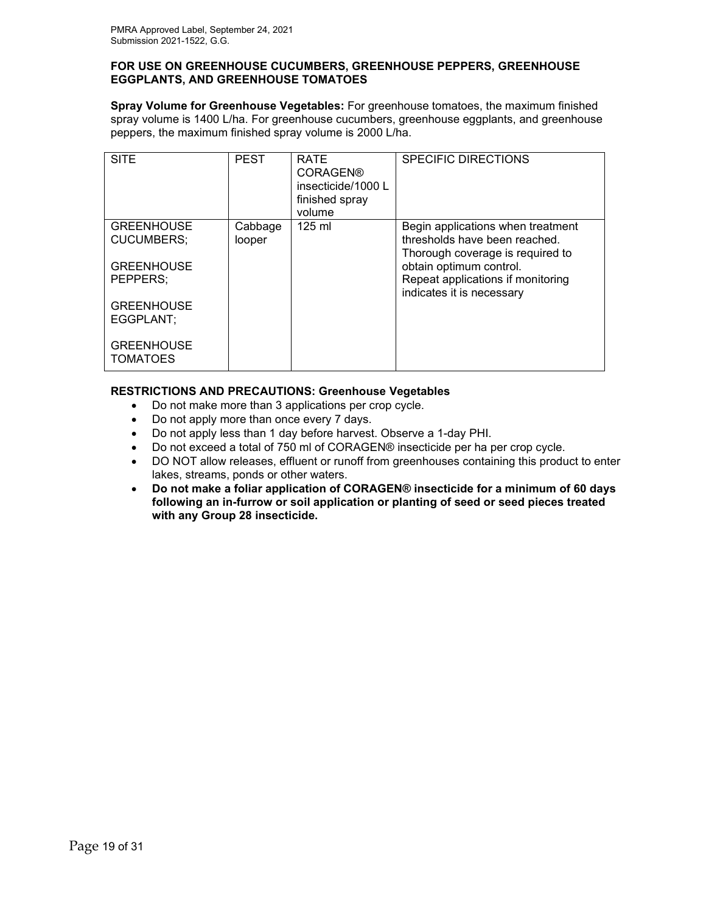#### **FOR USE ON GREENHOUSE CUCUMBERS, GREENHOUSE PEPPERS, GREENHOUSE EGGPLANTS, AND GREENHOUSE TOMATOES**

**Spray Volume for Greenhouse Vegetables:** For greenhouse tomatoes, the maximum finished spray volume is 1400 L/ha. For greenhouse cucumbers, greenhouse eggplants, and greenhouse peppers, the maximum finished spray volume is 2000 L/ha.

| <b>SITE</b>                          | <b>PEST</b> | <b>RATE</b><br><b>CORAGEN®</b><br>insecticide/1000 L<br>finished spray<br>volume | <b>SPECIFIC DIRECTIONS</b>                                     |
|--------------------------------------|-------------|----------------------------------------------------------------------------------|----------------------------------------------------------------|
| <b>GREENHOUSE</b>                    | Cabbage     | $125 \text{ ml}$                                                                 | Begin applications when treatment                              |
| CUCUMBERS;                           | looper      |                                                                                  | thresholds have been reached.                                  |
| <b>GREENHOUSE</b>                    |             |                                                                                  | Thorough coverage is required to<br>obtain optimum control.    |
| PEPPERS:                             |             |                                                                                  | Repeat applications if monitoring<br>indicates it is necessary |
| <b>GREENHOUSE</b>                    |             |                                                                                  |                                                                |
| EGGPLANT;                            |             |                                                                                  |                                                                |
| <b>GREENHOUSE</b><br><b>TOMATOES</b> |             |                                                                                  |                                                                |

## **RESTRICTIONS AND PRECAUTIONS: Greenhouse Vegetables**

- Do not make more than 3 applications per crop cycle.
- Do not apply more than once every 7 days.
- Do not apply less than 1 day before harvest. Observe a 1-day PHI.
- Do not exceed a total of 750 ml of CORAGEN® insecticide per ha per crop cycle.
- DO NOT allow releases, effluent or runoff from greenhouses containing this product to enter lakes, streams, ponds or other waters.
- **Do not make a foliar application of CORAGEN® insecticide for a minimum of 60 days following an in-furrow or soil application or planting of seed or seed pieces treated with any Group 28 insecticide.**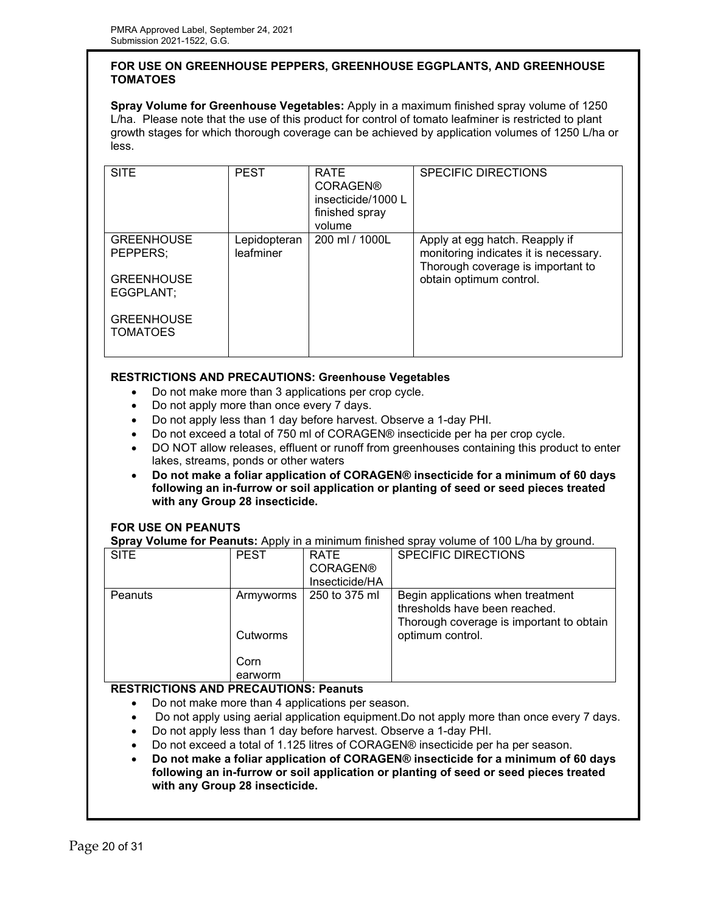## **FOR USE ON GREENHOUSE PEPPERS, GREENHOUSE EGGPLANTS, AND GREENHOUSE TOMATOES**

**Spray Volume for Greenhouse Vegetables:** Apply in a maximum finished spray volume of 1250 L/ha. Please note that the use of this product for control of tomato leafminer is restricted to plant growth stages for which thorough coverage can be achieved by application volumes of 1250 L/ha or less.

| <b>SITE</b>                                                     | <b>PEST</b>               | <b>RATE</b><br><b>CORAGEN®</b><br>insecticide/1000 L<br>finished spray<br>volume | <b>SPECIFIC DIRECTIONS</b>                                                                                                              |
|-----------------------------------------------------------------|---------------------------|----------------------------------------------------------------------------------|-----------------------------------------------------------------------------------------------------------------------------------------|
| <b>GREENHOUSE</b><br>PEPPERS:<br><b>GREENHOUSE</b><br>EGGPLANT: | Lepidopteran<br>leafminer | 200 ml / 1000L                                                                   | Apply at egg hatch. Reapply if<br>monitoring indicates it is necessary.<br>Thorough coverage is important to<br>obtain optimum control. |
| <b>GREENHOUSE</b><br><b>TOMATOES</b>                            |                           |                                                                                  |                                                                                                                                         |

## **RESTRICTIONS AND PRECAUTIONS: Greenhouse Vegetables**

- Do not make more than 3 applications per crop cycle.
- Do not apply more than once every 7 days.
- Do not apply less than 1 day before harvest. Observe a 1-day PHI.
- Do not exceed a total of 750 ml of CORAGEN® insecticide per ha per crop cycle.
- DO NOT allow releases, effluent or runoff from greenhouses containing this product to enter lakes, streams, ponds or other waters
- **Do not make a foliar application of CORAGEN® insecticide for a minimum of 60 days following an in-furrow or soil application or planting of seed or seed pieces treated with any Group 28 insecticide.**

## **FOR USE ON PEANUTS**

**Spray Volume for Peanuts:** Apply in a minimum finished spray volume of 100 L/ha by ground.

| <b>SITE</b> | <b>PEST</b>     | RATE<br><b>CORAGEN®</b>         | <b>SPECIFIC DIRECTIONS</b>                                                                    |
|-------------|-----------------|---------------------------------|-----------------------------------------------------------------------------------------------|
| Peanuts     | Armyworms       | Insecticide/HA<br>250 to 375 ml | Begin applications when treatment                                                             |
|             | Cutworms        |                                 | thresholds have been reached.<br>Thorough coverage is important to obtain<br>optimum control. |
|             | Corn<br>earworm |                                 |                                                                                               |

## **RESTRICTIONS AND PRECAUTIONS: Peanuts**

- Do not make more than 4 applications per season.
- Do not apply using aerial application equipment.Do not apply more than once every 7 days.
- Do not apply less than 1 day before harvest. Observe a 1-day PHI.
- Do not exceed a total of 1.125 litres of CORAGEN® insecticide per ha per season.
- **Do not make a foliar application of CORAGEN® insecticide for a minimum of 60 days following an in-furrow or soil application or planting of seed or seed pieces treated with any Group 28 insecticide.**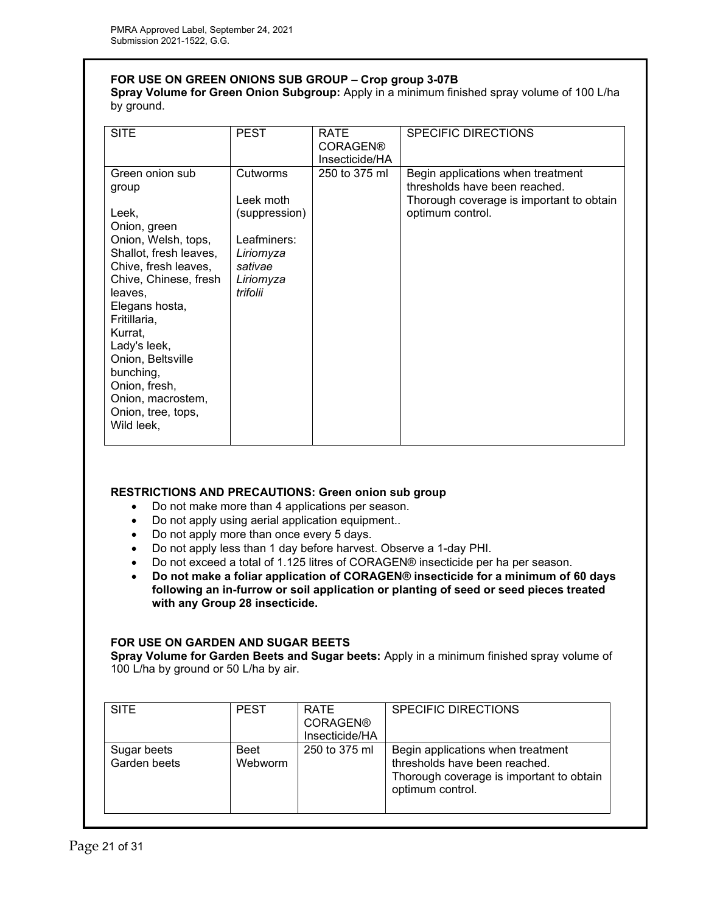## **FOR USE ON GREEN ONIONS SUB GROUP – Crop group 3-07B**

**Spray Volume for Green Onion Subgroup:** Apply in a minimum finished spray volume of 100 L/ha by ground.

| <b>SITE</b>                                                                                                                                                                                                                                                                                                                             | <b>PEST</b>                                                                                            | <b>RATE</b><br><b>CORAGEN®</b><br>Insecticide/HA | <b>SPECIFIC DIRECTIONS</b>                                                                                                         |
|-----------------------------------------------------------------------------------------------------------------------------------------------------------------------------------------------------------------------------------------------------------------------------------------------------------------------------------------|--------------------------------------------------------------------------------------------------------|--------------------------------------------------|------------------------------------------------------------------------------------------------------------------------------------|
| Green onion sub<br>group<br>Leek,<br>Onion, green<br>Onion, Welsh, tops,<br>Shallot, fresh leaves,<br>Chive, fresh leaves,<br>Chive, Chinese, fresh<br>leaves.<br>Elegans hosta,<br>Fritillaria,<br>Kurrat,<br>Lady's leek,<br>Onion, Beltsville<br>bunching,<br>Onion, fresh,<br>Onion, macrostem,<br>Onion, tree, tops,<br>Wild leek, | Cutworms<br>Leek moth<br>(suppression)<br>Leafminers:<br>Liriomyza<br>sativae<br>Liriomyza<br>trifolii | 250 to 375 ml                                    | Begin applications when treatment<br>thresholds have been reached.<br>Thorough coverage is important to obtain<br>optimum control. |

## **RESTRICTIONS AND PRECAUTIONS: Green onion sub group**

- Do not make more than 4 applications per season.
- Do not apply using aerial application equipment..
- Do not apply more than once every 5 days.
- Do not apply less than 1 day before harvest. Observe a 1-day PHI.
- Do not exceed a total of 1.125 litres of CORAGEN® insecticide per ha per season.
- **Do not make a foliar application of CORAGEN® insecticide for a minimum of 60 days following an in-furrow or soil application or planting of seed or seed pieces treated with any Group 28 insecticide.**

## **FOR USE ON GARDEN AND SUGAR BEETS**

**Spray Volume for Garden Beets and Sugar beets:** Apply in a minimum finished spray volume of 100 L/ha by ground or 50 L/ha by air.

| <b>SITE</b>                 | <b>PEST</b>     | <b>RATE</b><br><b>CORAGEN®</b><br>Insecticide/HA | <b>SPECIFIC DIRECTIONS</b>                                                                                                         |
|-----------------------------|-----------------|--------------------------------------------------|------------------------------------------------------------------------------------------------------------------------------------|
| Sugar beets<br>Garden beets | Beet<br>Webworm | 250 to 375 ml                                    | Begin applications when treatment<br>thresholds have been reached.<br>Thorough coverage is important to obtain<br>optimum control. |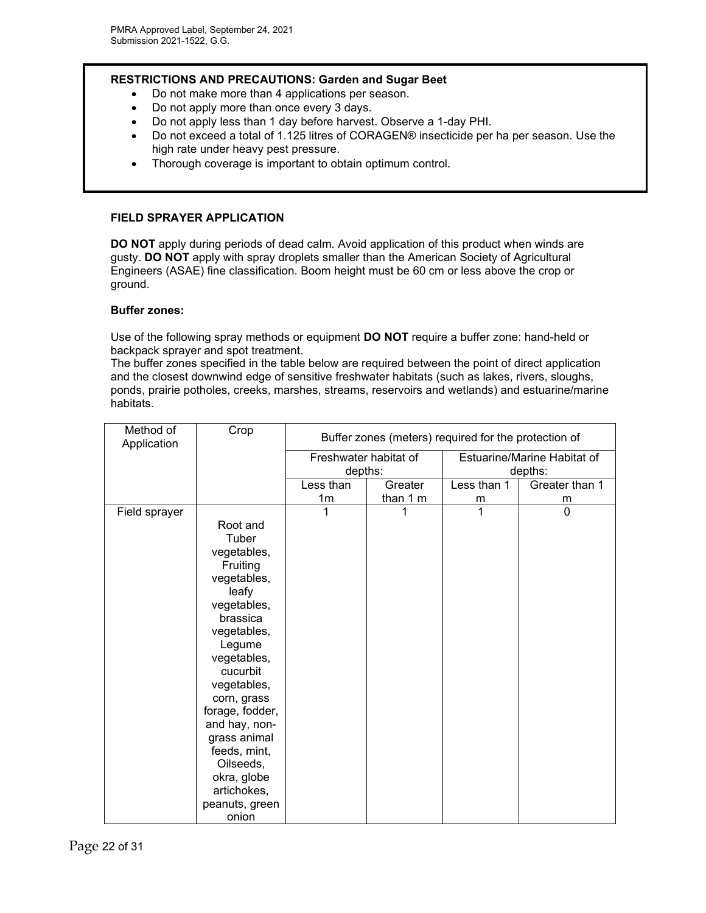## **RESTRICTIONS AND PRECAUTIONS: Garden and Sugar Beet**

- Do not make more than 4 applications per season.
- Do not apply more than once every 3 days.
- Do not apply less than 1 day before harvest. Observe a 1-day PHI.
- Do not exceed a total of 1.125 litres of CORAGEN® insecticide per ha per season. Use the high rate under heavy pest pressure.
- Thorough coverage is important to obtain optimum control.

## **FIELD SPRAYER APPLICATION**

**DO NOT** apply during periods of dead calm. Avoid application of this product when winds are gusty. **DO NOT** apply with spray droplets smaller than the American Society of Agricultural Engineers (ASAE) fine classification. Boom height must be 60 cm or less above the crop or ground.

#### **Buffer zones:**

Use of the following spray methods or equipment **DO NOT** require a buffer zone: hand-held or backpack sprayer and spot treatment.

The buffer zones specified in the table below are required between the point of direct application and the closest downwind edge of sensitive freshwater habitats (such as lakes, rivers, sloughs, ponds, prairie potholes, creeks, marshes, streams, reservoirs and wetlands) and estuarine/marine habitats.

| Method of<br>Application | Crop            | Buffer zones (meters) required for the protection of |          |                             |                |
|--------------------------|-----------------|------------------------------------------------------|----------|-----------------------------|----------------|
|                          |                 | Freshwater habitat of                                |          | Estuarine/Marine Habitat of |                |
|                          |                 | depths:                                              |          | depths:                     |                |
|                          |                 | Less than                                            | Greater  | Less than 1                 | Greater than 1 |
|                          |                 | 1m                                                   | than 1 m | m                           | m              |
| Field sprayer            |                 | 1                                                    |          | 1                           | $\Omega$       |
|                          | Root and        |                                                      |          |                             |                |
|                          | Tuber           |                                                      |          |                             |                |
|                          | vegetables,     |                                                      |          |                             |                |
|                          | Fruiting        |                                                      |          |                             |                |
|                          | vegetables,     |                                                      |          |                             |                |
|                          | leafy           |                                                      |          |                             |                |
|                          | vegetables,     |                                                      |          |                             |                |
|                          | brassica        |                                                      |          |                             |                |
|                          | vegetables,     |                                                      |          |                             |                |
|                          | Legume          |                                                      |          |                             |                |
|                          | vegetables,     |                                                      |          |                             |                |
|                          | cucurbit        |                                                      |          |                             |                |
|                          | vegetables,     |                                                      |          |                             |                |
|                          | corn, grass     |                                                      |          |                             |                |
|                          | forage, fodder, |                                                      |          |                             |                |
|                          | and hay, non-   |                                                      |          |                             |                |
|                          | grass animal    |                                                      |          |                             |                |
|                          | feeds, mint,    |                                                      |          |                             |                |
|                          | Oilseeds,       |                                                      |          |                             |                |
|                          | okra, globe     |                                                      |          |                             |                |
|                          | artichokes,     |                                                      |          |                             |                |
|                          | peanuts, green  |                                                      |          |                             |                |
|                          | onion           |                                                      |          |                             |                |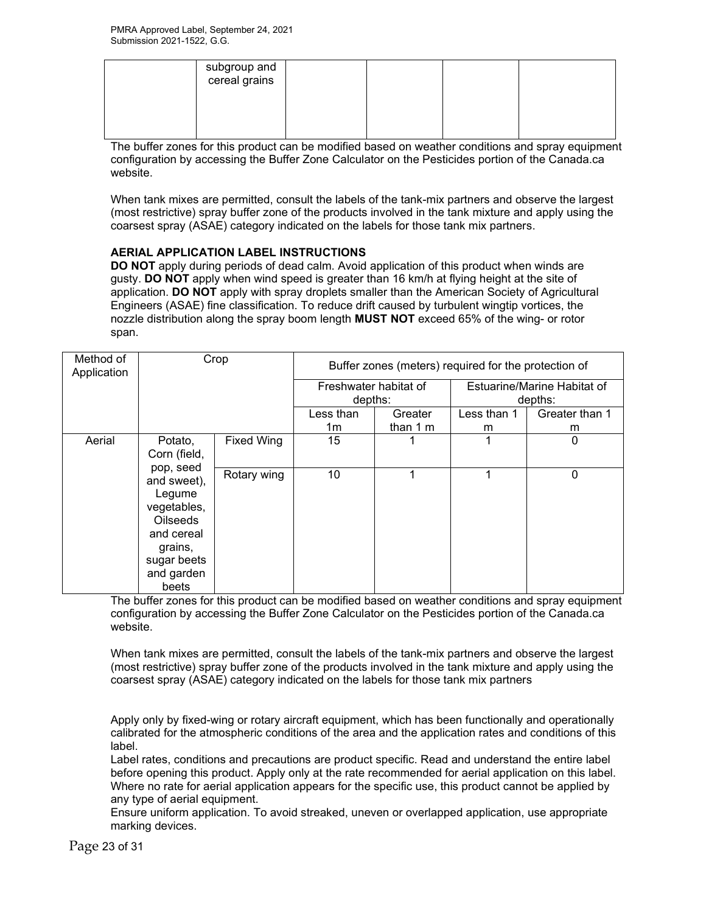| subgroup and<br>cereal grains |  |  |
|-------------------------------|--|--|
|                               |  |  |

The buffer zones for this product can be modified based on weather conditions and spray equipment configuration by accessing the Buffer Zone Calculator on the Pesticides portion of the Canada.ca website.

When tank mixes are permitted, consult the labels of the tank-mix partners and observe the largest (most restrictive) spray buffer zone of the products involved in the tank mixture and apply using the coarsest spray (ASAE) category indicated on the labels for those tank mix partners.

## **AERIAL APPLICATION LABEL INSTRUCTIONS**

**DO NOT** apply during periods of dead calm. Avoid application of this product when winds are gusty. **DO NOT** apply when wind speed is greater than 16 km/h at flying height at the site of application. **DO NOT** apply with spray droplets smaller than the American Society of Agricultural Engineers (ASAE) fine classification. To reduce drift caused by turbulent wingtip vortices, the nozzle distribution along the spray boom length **MUST NOT** exceed 65% of the wing- or rotor span.

| Method of<br>Application | Crop                                                                                                                                |                   | Buffer zones (meters) required for the protection of |           |                             |                |  |
|--------------------------|-------------------------------------------------------------------------------------------------------------------------------------|-------------------|------------------------------------------------------|-----------|-----------------------------|----------------|--|
|                          |                                                                                                                                     |                   | Freshwater habitat of                                |           | Estuarine/Marine Habitat of |                |  |
|                          |                                                                                                                                     |                   | depths:                                              |           | depths:                     |                |  |
|                          |                                                                                                                                     |                   | Less than                                            | Greater   | Less than 1                 | Greater than 1 |  |
|                          |                                                                                                                                     |                   | 1m                                                   | than $1m$ | m                           | m              |  |
| Aerial                   | Potato,                                                                                                                             | <b>Fixed Wing</b> | 15                                                   |           | 1                           | 0              |  |
|                          | Corn (field,                                                                                                                        |                   |                                                      |           |                             |                |  |
|                          | pop, seed<br>and sweet),<br>Legume<br>vegetables,<br><b>Oilseeds</b><br>and cereal<br>grains,<br>sugar beets<br>and garden<br>beets | Rotary wing       | 10                                                   | 1         | 1                           | 0              |  |

The buffer zones for this product can be modified based on weather conditions and spray equipment configuration by accessing the Buffer Zone Calculator on the Pesticides portion of the Canada.ca website.

When tank mixes are permitted, consult the labels of the tank-mix partners and observe the largest (most restrictive) spray buffer zone of the products involved in the tank mixture and apply using the coarsest spray (ASAE) category indicated on the labels for those tank mix partners

Apply only by fixed-wing or rotary aircraft equipment, which has been functionally and operationally calibrated for the atmospheric conditions of the area and the application rates and conditions of this label.

Label rates, conditions and precautions are product specific. Read and understand the entire label before opening this product. Apply only at the rate recommended for aerial application on this label. Where no rate for aerial application appears for the specific use, this product cannot be applied by any type of aerial equipment.

Ensure uniform application. To avoid streaked, uneven or overlapped application, use appropriate marking devices.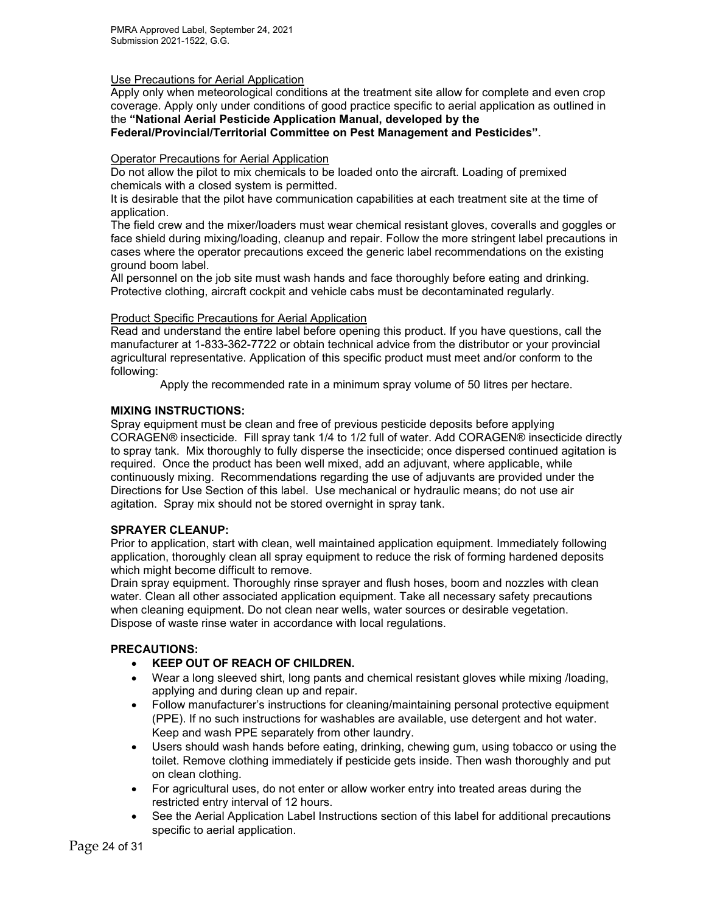#### Use Precautions for Aerial Application

Apply only when meteorological conditions at the treatment site allow for complete and even crop coverage. Apply only under conditions of good practice specific to aerial application as outlined in the **"National Aerial Pesticide Application Manual, developed by the** 

**Federal/Provincial/Territorial Committee on Pest Management and Pesticides"**.

#### Operator Precautions for Aerial Application

Do not allow the pilot to mix chemicals to be loaded onto the aircraft. Loading of premixed chemicals with a closed system is permitted.

It is desirable that the pilot have communication capabilities at each treatment site at the time of application.

The field crew and the mixer/loaders must wear chemical resistant gloves, coveralls and goggles or face shield during mixing/loading, cleanup and repair. Follow the more stringent label precautions in cases where the operator precautions exceed the generic label recommendations on the existing ground boom label.

All personnel on the job site must wash hands and face thoroughly before eating and drinking. Protective clothing, aircraft cockpit and vehicle cabs must be decontaminated regularly.

#### Product Specific Precautions for Aerial Application

Read and understand the entire label before opening this product. If you have questions, call the manufacturer at 1-833-362-7722 or obtain technical advice from the distributor or your provincial agricultural representative. Application of this specific product must meet and/or conform to the following:

Apply the recommended rate in a minimum spray volume of 50 litres per hectare.

## **MIXING INSTRUCTIONS:**

Spray equipment must be clean and free of previous pesticide deposits before applying CORAGEN® insecticide. Fill spray tank 1/4 to 1/2 full of water. Add CORAGEN® insecticide directly to spray tank. Mix thoroughly to fully disperse the insecticide; once dispersed continued agitation is required. Once the product has been well mixed, add an adjuvant, where applicable, while continuously mixing. Recommendations regarding the use of adjuvants are provided under the Directions for Use Section of this label. Use mechanical or hydraulic means; do not use air agitation. Spray mix should not be stored overnight in spray tank.

## **SPRAYER CLEANUP:**

Prior to application, start with clean, well maintained application equipment. Immediately following application, thoroughly clean all spray equipment to reduce the risk of forming hardened deposits which might become difficult to remove.

Drain spray equipment. Thoroughly rinse sprayer and flush hoses, boom and nozzles with clean water. Clean all other associated application equipment. Take all necessary safety precautions when cleaning equipment. Do not clean near wells, water sources or desirable vegetation. Dispose of waste rinse water in accordance with local regulations.

## **PRECAUTIONS:**

- **KEEP OUT OF REACH OF CHILDREN.**
- Wear a long sleeved shirt, long pants and chemical resistant gloves while mixing /loading, applying and during clean up and repair.
- Follow manufacturer's instructions for cleaning/maintaining personal protective equipment (PPE). If no such instructions for washables are available, use detergent and hot water. Keep and wash PPE separately from other laundry.
- Users should wash hands before eating, drinking, chewing gum, using tobacco or using the toilet. Remove clothing immediately if pesticide gets inside. Then wash thoroughly and put on clean clothing.
- For agricultural uses, do not enter or allow worker entry into treated areas during the restricted entry interval of 12 hours.
- See the Aerial Application Label Instructions section of this label for additional precautions specific to aerial application.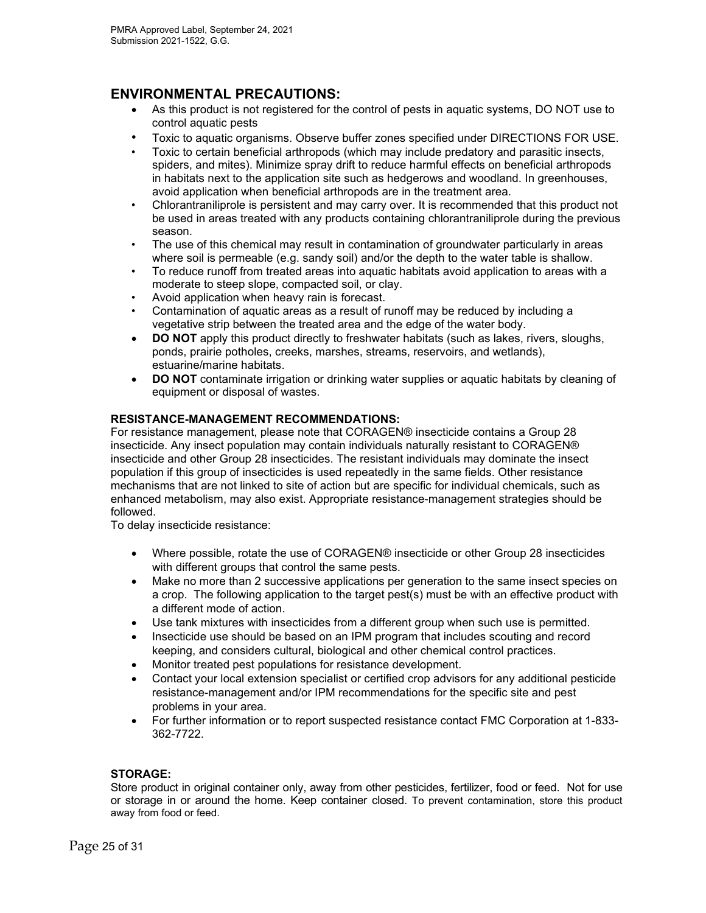# **ENVIRONMENTAL PRECAUTIONS:**

- As this product is not registered for the control of pests in aquatic systems, DO NOT use to control aquatic pests
- Toxic to aquatic organisms. Observe buffer zones specified under DIRECTIONS FOR USE.
- Toxic to certain beneficial arthropods (which may include predatory and parasitic insects, spiders, and mites). Minimize spray drift to reduce harmful effects on beneficial arthropods in habitats next to the application site such as hedgerows and woodland. In greenhouses, avoid application when beneficial arthropods are in the treatment area.
- Chlorantraniliprole is persistent and may carry over. It is recommended that this product not be used in areas treated with any products containing chlorantraniliprole during the previous season.
- The use of this chemical may result in contamination of groundwater particularly in areas where soil is permeable (e.g. sandy soil) and/or the depth to the water table is shallow.
- To reduce runoff from treated areas into aquatic habitats avoid application to areas with a moderate to steep slope, compacted soil, or clay.
- Avoid application when heavy rain is forecast.
- Contamination of aquatic areas as a result of runoff may be reduced by including a vegetative strip between the treated area and the edge of the water body.
- **DO NOT** apply this product directly to freshwater habitats (such as lakes, rivers, sloughs, ponds, prairie potholes, creeks, marshes, streams, reservoirs, and wetlands), estuarine/marine habitats.
- **DO NOT** contaminate irrigation or drinking water supplies or aquatic habitats by cleaning of equipment or disposal of wastes.

## **RESISTANCE-MANAGEMENT RECOMMENDATIONS:**

For resistance management, please note that CORAGEN® insecticide contains a Group 28 insecticide. Any insect population may contain individuals naturally resistant to CORAGEN® insecticide and other Group 28 insecticides. The resistant individuals may dominate the insect population if this group of insecticides is used repeatedly in the same fields. Other resistance mechanisms that are not linked to site of action but are specific for individual chemicals, such as enhanced metabolism, may also exist. Appropriate resistance-management strategies should be followed.

To delay insecticide resistance:

- Where possible, rotate the use of CORAGEN® insecticide or other Group 28 insecticides with different groups that control the same pests.
- Make no more than 2 successive applications per generation to the same insect species on a crop. The following application to the target pest(s) must be with an effective product with a different mode of action.
- Use tank mixtures with insecticides from a different group when such use is permitted.
- Insecticide use should be based on an IPM program that includes scouting and record keeping, and considers cultural, biological and other chemical control practices.
- Monitor treated pest populations for resistance development.
- Contact your local extension specialist or certified crop advisors for any additional pesticide resistance-management and/or IPM recommendations for the specific site and pest problems in your area.
- For further information or to report suspected resistance contact FMC Corporation at 1-833- 362-7722.

#### **STORAGE:**

Store product in original container only, away from other pesticides, fertilizer, food or feed. Not for use or storage in or around the home. Keep container closed. To prevent contamination, store this product away from food or feed.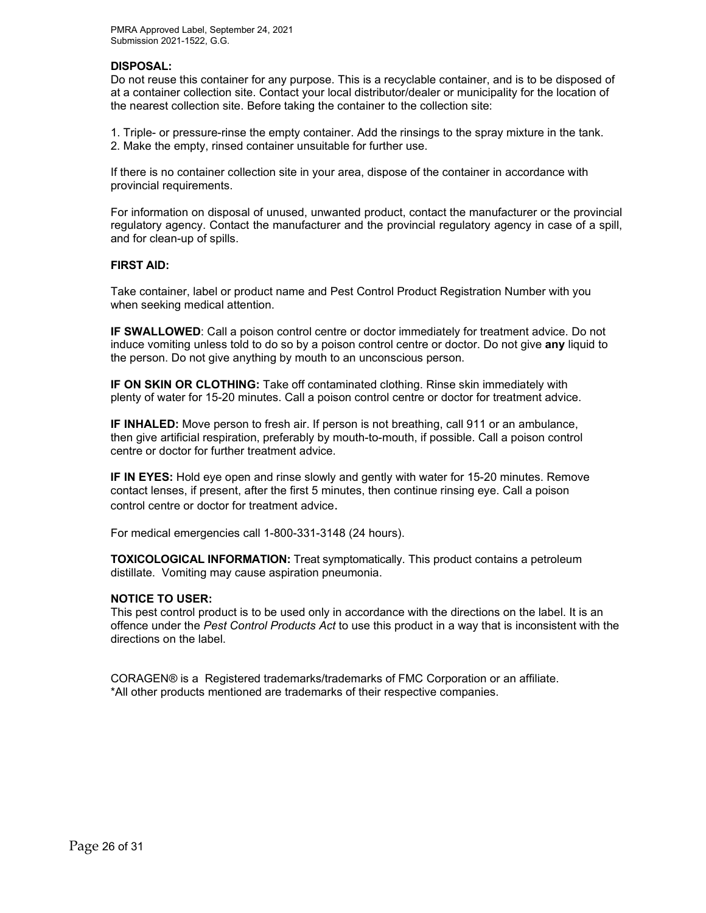#### **DISPOSAL:**

Do not reuse this container for any purpose. This is a recyclable container, and is to be disposed of at a container collection site. Contact your local distributor/dealer or municipality for the location of the nearest collection site. Before taking the container to the collection site:

1. Triple- or pressure-rinse the empty container. Add the rinsings to the spray mixture in the tank. 2. Make the empty, rinsed container unsuitable for further use.

If there is no container collection site in your area, dispose of the container in accordance with provincial requirements.

For information on disposal of unused, unwanted product, contact the manufacturer or the provincial regulatory agency. Contact the manufacturer and the provincial regulatory agency in case of a spill, and for clean-up of spills.

#### **FIRST AID:**

Take container, label or product name and Pest Control Product Registration Number with you when seeking medical attention.

**IF SWALLOWED**: Call a poison control centre or doctor immediately for treatment advice. Do not induce vomiting unless told to do so by a poison control centre or doctor. Do not give **any** liquid to the person. Do not give anything by mouth to an unconscious person.

**IF ON SKIN OR CLOTHING:** Take off contaminated clothing. Rinse skin immediately with plenty of water for 15-20 minutes. Call a poison control centre or doctor for treatment advice.

**IF INHALED:** Move person to fresh air. If person is not breathing, call 911 or an ambulance, then give artificial respiration, preferably by mouth-to-mouth, if possible. Call a poison control centre or doctor for further treatment advice.

**IF IN EYES:** Hold eye open and rinse slowly and gently with water for 15-20 minutes. Remove contact lenses, if present, after the first 5 minutes, then continue rinsing eye. Call a poison control centre or doctor for treatment advice.

For medical emergencies call 1-800-331-3148 (24 hours).

**TOXICOLOGICAL INFORMATION:** Treat symptomatically. This product contains a petroleum distillate. Vomiting may cause aspiration pneumonia.

#### **NOTICE TO USER:**

This pest control product is to be used only in accordance with the directions on the label. It is an offence under the *Pest Control Products Act* to use this product in a way that is inconsistent with the directions on the label.

CORAGEN® is a Registered trademarks/trademarks of FMC Corporation or an affiliate. \*All other products mentioned are trademarks of their respective companies.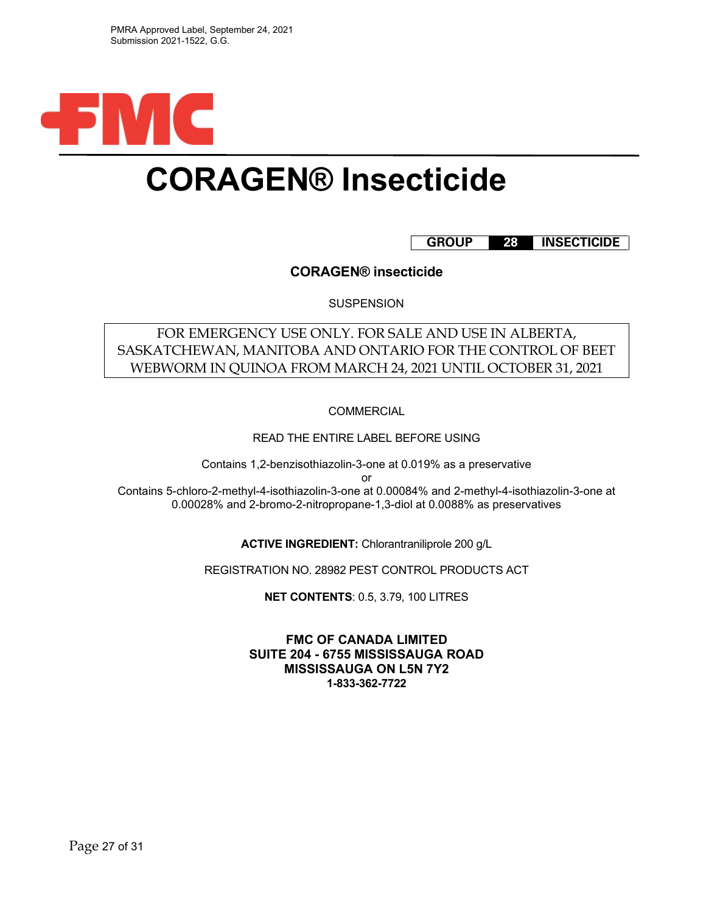

# **CORAGEN® Insecticide**

## **GROUP 28 INSECTICIDE**

**CORAGEN® insecticide**

**SUSPENSION** 

# FOR EMERGENCY USE ONLY. FOR SALE AND USE IN ALBERTA, SASKATCHEWAN, MANITOBA AND ONTARIO FOR THE CONTROL OF BEET WEBWORM IN QUINOA FROM MARCH 24, 2021 UNTIL OCTOBER 31, 2021

**COMMERCIAL** 

READ THE ENTIRE LABEL BEFORE USING

Contains 1,2-benzisothiazolin-3-one at 0.019% as a preservative

or

Contains 5-chloro-2-methyl-4-isothiazolin-3-one at 0.00084% and 2-methyl-4-isothiazolin-3-one at 0.00028% and 2-bromo-2-nitropropane-1,3-diol at 0.0088% as preservatives

**ACTIVE INGREDIENT:** Chlorantraniliprole 200 g/L

REGISTRATION NO. 28982 PEST CONTROL PRODUCTS ACT

**NET CONTENTS**: 0.5, 3.79, 100 LITRES

**FMC OF CANADA LIMITED SUITE 204 - 6755 MISSISSAUGA ROAD MISSISSAUGA ON L5N 7Y2 1-833-362-7722**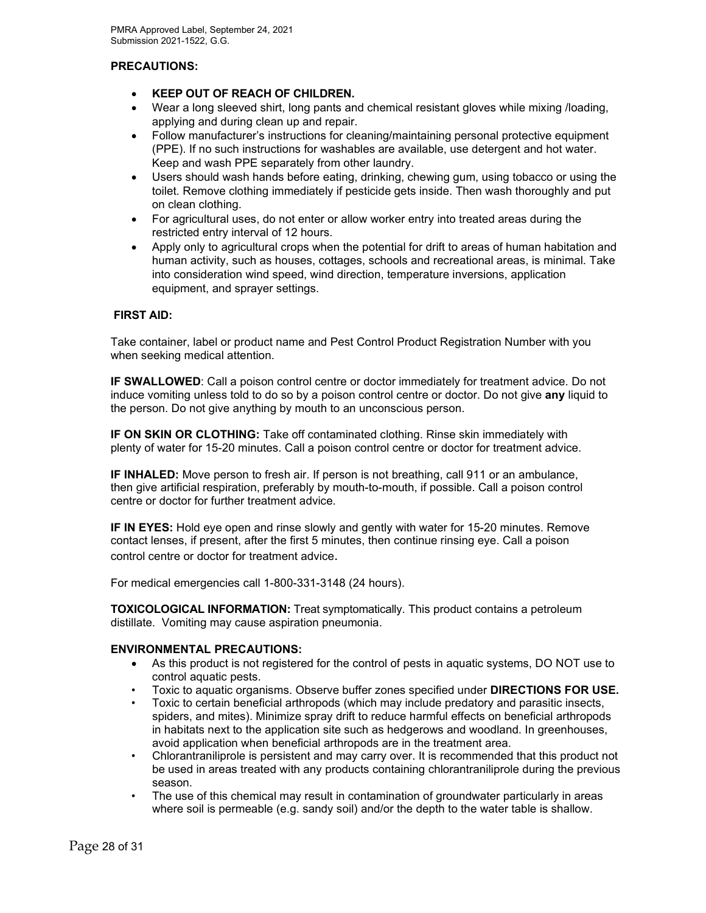## **PRECAUTIONS:**

- **KEEP OUT OF REACH OF CHILDREN.**
- Wear a long sleeved shirt, long pants and chemical resistant gloves while mixing /loading, applying and during clean up and repair.
- Follow manufacturer's instructions for cleaning/maintaining personal protective equipment (PPE). If no such instructions for washables are available, use detergent and hot water. Keep and wash PPE separately from other laundry.
- Users should wash hands before eating, drinking, chewing gum, using tobacco or using the toilet. Remove clothing immediately if pesticide gets inside. Then wash thoroughly and put on clean clothing.
- For agricultural uses, do not enter or allow worker entry into treated areas during the restricted entry interval of 12 hours.
- Apply only to agricultural crops when the potential for drift to areas of human habitation and human activity, such as houses, cottages, schools and recreational areas, is minimal. Take into consideration wind speed, wind direction, temperature inversions, application equipment, and sprayer settings.

#### **FIRST AID:**

Take container, label or product name and Pest Control Product Registration Number with you when seeking medical attention.

**IF SWALLOWED**: Call a poison control centre or doctor immediately for treatment advice. Do not induce vomiting unless told to do so by a poison control centre or doctor. Do not give **any** liquid to the person. Do not give anything by mouth to an unconscious person.

**IF ON SKIN OR CLOTHING:** Take off contaminated clothing. Rinse skin immediately with plenty of water for 15-20 minutes. Call a poison control centre or doctor for treatment advice.

**IF INHALED:** Move person to fresh air. If person is not breathing, call 911 or an ambulance, then give artificial respiration, preferably by mouth-to-mouth, if possible. Call a poison control centre or doctor for further treatment advice.

**IF IN EYES:** Hold eye open and rinse slowly and gently with water for 15-20 minutes. Remove contact lenses, if present, after the first 5 minutes, then continue rinsing eye. Call a poison control centre or doctor for treatment advice.

For medical emergencies call 1-800-331-3148 (24 hours).

**TOXICOLOGICAL INFORMATION:** Treat symptomatically. This product contains a petroleum distillate. Vomiting may cause aspiration pneumonia.

#### **ENVIRONMENTAL PRECAUTIONS:**

- As this product is not registered for the control of pests in aquatic systems, DO NOT use to control aquatic pests.
- Toxic to aquatic organisms. Observe buffer zones specified under **DIRECTIONS FOR USE.**
- Toxic to certain beneficial arthropods (which may include predatory and parasitic insects, spiders, and mites). Minimize spray drift to reduce harmful effects on beneficial arthropods in habitats next to the application site such as hedgerows and woodland. In greenhouses, avoid application when beneficial arthropods are in the treatment area.
- Chlorantraniliprole is persistent and may carry over. It is recommended that this product not be used in areas treated with any products containing chlorantraniliprole during the previous season.
- The use of this chemical may result in contamination of groundwater particularly in areas where soil is permeable (e.g. sandy soil) and/or the depth to the water table is shallow.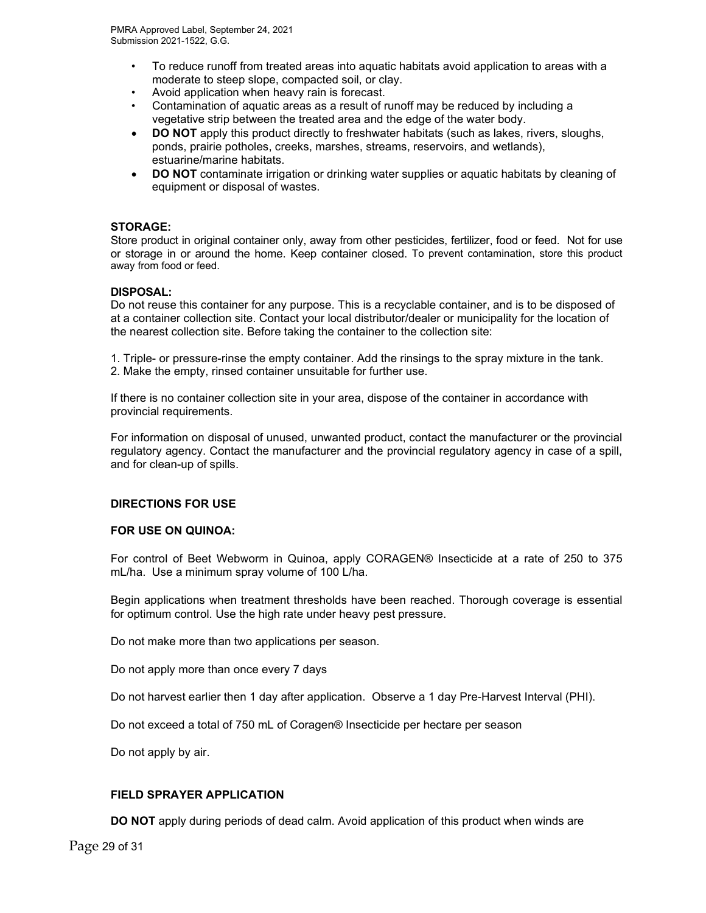- To reduce runoff from treated areas into aquatic habitats avoid application to areas with a moderate to steep slope, compacted soil, or clay.
- Avoid application when heavy rain is forecast.
- Contamination of aquatic areas as a result of runoff may be reduced by including a vegetative strip between the treated area and the edge of the water body.
- **DO NOT** apply this product directly to freshwater habitats (such as lakes, rivers, sloughs, ponds, prairie potholes, creeks, marshes, streams, reservoirs, and wetlands), estuarine/marine habitats.
- **DO NOT** contaminate irrigation or drinking water supplies or aquatic habitats by cleaning of equipment or disposal of wastes.

#### **STORAGE:**

Store product in original container only, away from other pesticides, fertilizer, food or feed. Not for use or storage in or around the home. Keep container closed. To prevent contamination, store this product away from food or feed.

#### **DISPOSAL:**

Do not reuse this container for any purpose. This is a recyclable container, and is to be disposed of at a container collection site. Contact your local distributor/dealer or municipality for the location of the nearest collection site. Before taking the container to the collection site:

1. Triple- or pressure-rinse the empty container. Add the rinsings to the spray mixture in the tank.

2. Make the empty, rinsed container unsuitable for further use.

If there is no container collection site in your area, dispose of the container in accordance with provincial requirements.

For information on disposal of unused, unwanted product, contact the manufacturer or the provincial regulatory agency. Contact the manufacturer and the provincial regulatory agency in case of a spill, and for clean-up of spills.

#### **DIRECTIONS FOR USE**

#### **FOR USE ON QUINOA:**

For control of Beet Webworm in Quinoa, apply CORAGEN® Insecticide at a rate of 250 to 375 mL/ha. Use a minimum spray volume of 100 L/ha.

Begin applications when treatment thresholds have been reached. Thorough coverage is essential for optimum control. Use the high rate under heavy pest pressure.

Do not make more than two applications per season.

Do not apply more than once every 7 days

Do not harvest earlier then 1 day after application. Observe a 1 day Pre-Harvest Interval (PHI).

Do not exceed a total of 750 mL of Coragen® Insecticide per hectare per season

Do not apply by air.

#### **FIELD SPRAYER APPLICATION**

**DO NOT** apply during periods of dead calm. Avoid application of this product when winds are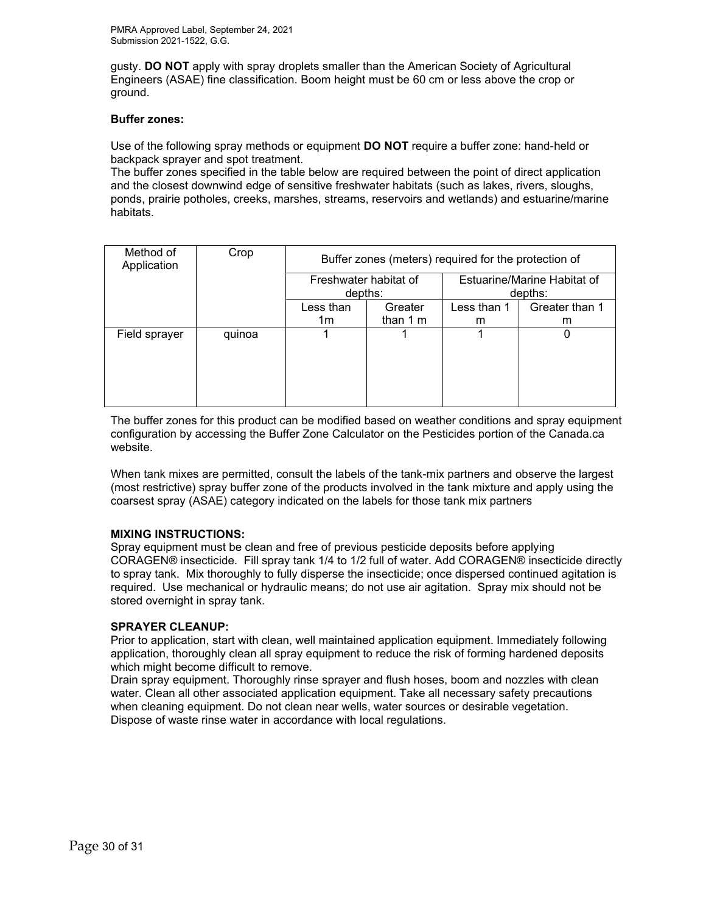gusty. **DO NOT** apply with spray droplets smaller than the American Society of Agricultural Engineers (ASAE) fine classification. Boom height must be 60 cm or less above the crop or ground.

#### **Buffer zones:**

Use of the following spray methods or equipment **DO NOT** require a buffer zone: hand-held or backpack sprayer and spot treatment.

The buffer zones specified in the table below are required between the point of direct application and the closest downwind edge of sensitive freshwater habitats (such as lakes, rivers, sloughs, ponds, prairie potholes, creeks, marshes, streams, reservoirs and wetlands) and estuarine/marine habitats.

| Method of<br>Application | Crop   | Buffer zones (meters) required for the protection of |           |                                        |                |  |  |
|--------------------------|--------|------------------------------------------------------|-----------|----------------------------------------|----------------|--|--|
|                          |        | Freshwater habitat of<br>depths:                     |           | Estuarine/Marine Habitat of<br>depths: |                |  |  |
|                          |        | Less than<br>Greater                                 |           | Less than 1                            | Greater than 1 |  |  |
|                          |        | 1m                                                   | than $1m$ | m                                      | m              |  |  |
| Field sprayer            | quinoa |                                                      |           |                                        | 0              |  |  |

The buffer zones for this product can be modified based on weather conditions and spray equipment configuration by accessing the Buffer Zone Calculator on the Pesticides portion of the Canada.ca website.

When tank mixes are permitted, consult the labels of the tank-mix partners and observe the largest (most restrictive) spray buffer zone of the products involved in the tank mixture and apply using the coarsest spray (ASAE) category indicated on the labels for those tank mix partners

## **MIXING INSTRUCTIONS:**

Spray equipment must be clean and free of previous pesticide deposits before applying CORAGEN® insecticide. Fill spray tank 1/4 to 1/2 full of water. Add CORAGEN® insecticide directly to spray tank. Mix thoroughly to fully disperse the insecticide; once dispersed continued agitation is required. Use mechanical or hydraulic means; do not use air agitation. Spray mix should not be stored overnight in spray tank.

#### **SPRAYER CLEANUP:**

Prior to application, start with clean, well maintained application equipment. Immediately following application, thoroughly clean all spray equipment to reduce the risk of forming hardened deposits which might become difficult to remove.

Drain spray equipment. Thoroughly rinse sprayer and flush hoses, boom and nozzles with clean water. Clean all other associated application equipment. Take all necessary safety precautions when cleaning equipment. Do not clean near wells, water sources or desirable vegetation. Dispose of waste rinse water in accordance with local regulations.